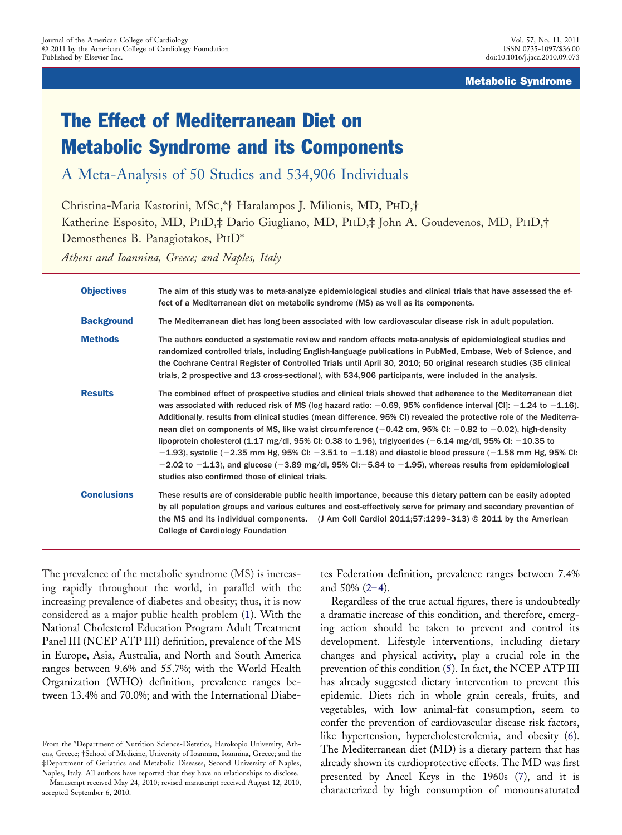## Metabolic Syndrome

# The Effect of Mediterranean Diet on Metabolic Syndrome and its Components

A Meta-Analysis of 50 Studies and 534,906 Individuals

Christina-Maria Kastorini, MSC,\*† Haralampos J. Milionis, MD, PHD,† Katherine Esposito, MD, PHD,‡ Dario Giugliano, MD, PHD,‡ John A. Goudevenos, MD, PHD,† Demosthenes B. Panagiotakos, PHD\*

*Athens and Ioannina, Greece; and Naples, Italy*

| <b>Objectives</b>  | The aim of this study was to meta-analyze epidemiological studies and clinical trials that have assessed the ef-<br>fect of a Mediterranean diet on metabolic syndrome (MS) as well as its components.                                                                                                                                                                                                                                                                                                                                                                                                                                                                                                                                                                                                                                                                                               |
|--------------------|------------------------------------------------------------------------------------------------------------------------------------------------------------------------------------------------------------------------------------------------------------------------------------------------------------------------------------------------------------------------------------------------------------------------------------------------------------------------------------------------------------------------------------------------------------------------------------------------------------------------------------------------------------------------------------------------------------------------------------------------------------------------------------------------------------------------------------------------------------------------------------------------------|
| <b>Background</b>  | The Mediterranean diet has long been associated with low cardiovascular disease risk in adult population.                                                                                                                                                                                                                                                                                                                                                                                                                                                                                                                                                                                                                                                                                                                                                                                            |
| <b>Methods</b>     | The authors conducted a systematic review and random effects meta-analysis of epidemiological studies and<br>randomized controlled trials, including English-language publications in PubMed, Embase, Web of Science, and<br>the Cochrane Central Register of Controlled Trials until April 30, 2010; 50 original research studies (35 clinical<br>trials, 2 prospective and 13 cross-sectional), with 534,906 participants, were included in the analysis.                                                                                                                                                                                                                                                                                                                                                                                                                                          |
| <b>Results</b>     | The combined effect of prospective studies and clinical trials showed that adherence to the Mediterranean diet<br>was associated with reduced risk of MS (log hazard ratio: $-0.69$ , 95% confidence interval [CI]: $-1.24$ to $-1.16$ ).<br>Additionally, results from clinical studies (mean difference, 95% CI) revealed the protective role of the Mediterra-<br>nean diet on components of MS, like waist circumference ( $-0.42$ cm, 95% CI: $-0.82$ to $-0.02$ ), high-density<br>lipoprotein cholesterol (1.17 mg/dl, 95% Cl: 0.38 to 1.96), triglycerides ( $-6.14$ mg/dl, 95% Cl: $-10.35$ to<br>$-1.93$ ), systolic (-2.35 mm Hg, 95% Cl: -3.51 to -1.18) and diastolic blood pressure (-1.58 mm Hg, 95% Cl:<br>$-2.02$ to $-1.13$ ), and glucose ( $-3.89$ mg/dl, 95% CI: $-5.84$ to $-1.95$ ), whereas results from epidemiological<br>studies also confirmed those of clinical trials. |
| <b>Conclusions</b> | These results are of considerable public health importance, because this dietary pattern can be easily adopted<br>by all population groups and various cultures and cost-effectively serve for primary and secondary prevention of<br>the MS and its individual components. $\left($ J Am Coll Cardiol 2011;57:1299-313) © 2011 by the American<br><b>College of Cardiology Foundation</b>                                                                                                                                                                                                                                                                                                                                                                                                                                                                                                           |

The prevalence of the metabolic syndrome (MS) is increasing rapidly throughout the world, in parallel with the increasing prevalence of diabetes and obesity; thus, it is now considered as a major public health problem [\(1\)](#page-12-0). With the National Cholesterol Education Program Adult Treatment Panel III (NCEP ATP III) definition, prevalence of the MS in Europe, Asia, Australia, and North and South America ranges between 9.6% and 55.7%; with the World Health Organization (WHO) definition, prevalence ranges between 13.4% and 70.0%; and with the International Diabetes Federation definition, prevalence ranges between 7.4% and 50% [\(2–4\)](#page-12-1).

Regardless of the true actual figures, there is undoubtedly a dramatic increase of this condition, and therefore, emerging action should be taken to prevent and control its development. Lifestyle interventions, including dietary changes and physical activity, play a crucial role in the prevention of this condition [\(5\)](#page-13-0). In fact, the NCEP ATP III has already suggested dietary intervention to prevent this epidemic. Diets rich in whole grain cereals, fruits, and vegetables, with low animal-fat consumption, seem to confer the prevention of cardiovascular disease risk factors, like hypertension, hypercholesterolemia, and obesity [\(6\)](#page-13-1). The Mediterranean diet (MD) is a dietary pattern that has already shown its cardioprotective effects. The MD was first presented by Ancel Keys in the 1960s [\(7\)](#page-13-2), and it is characterized by high consumption of monounsaturated

From the \*Department of Nutrition Science-Dietetics, Harokopio University, Athens, Greece; †School of Medicine, University of Ioannina, Ioannina, Greece; and the ‡Department of Geriatrics and Metabolic Diseases, Second University of Naples, Naples, Italy. All authors have reported that they have no relationships to disclose.

Manuscript received May 24, 2010; revised manuscript received August 12, 2010, accepted September 6, 2010.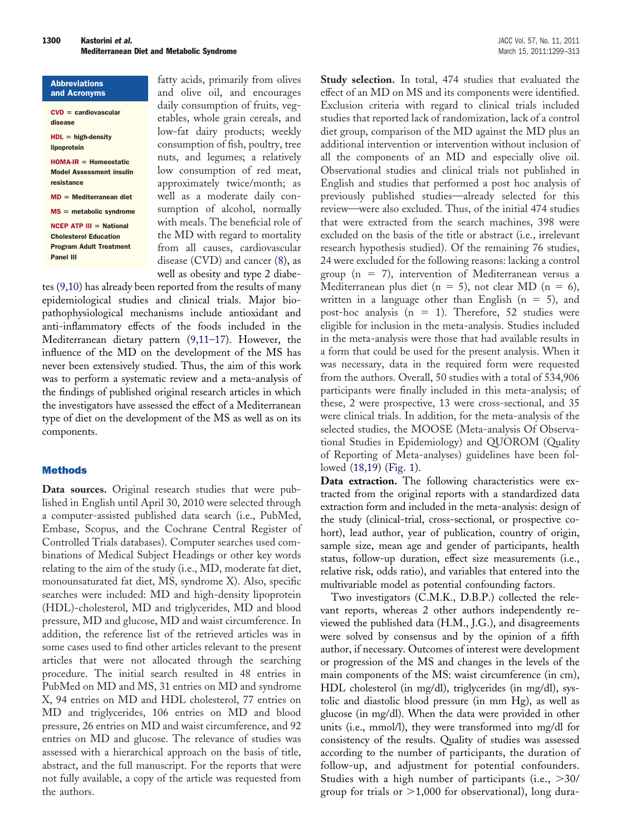| <b>Abbreviations</b>            | f          |
|---------------------------------|------------|
| and Acronyms                    | a          |
| $CVD = \text{cardiovascular}$   | $\epsilon$ |
| disease                         | e          |
| $HDL = high-density$            | 1          |
| lipoprotein                     | C          |
| $HOMA-IR = Homeostatic$         | r          |
| <b>Model Assessment insulin</b> | 1          |
| resistance                      | a          |
| $MD = Mediterranean$            | V          |
| $MS =$ metabolic syndrome       | S          |
| $NCEP$ ATP III = National       | V          |
| <b>Cholesterol Education</b>    | t          |
| <b>Program Adult Treatment</b>  | f          |
| <b>Panel III</b>                | Ċ          |
|                                 | ٦J         |

fatty acids, primarily from olives and olive oil, and encourages daily consumption of fruits, vegetables, whole grain cereals, and low-fat dairy products; weekly consumption of fish, poultry, tree nuts, and legumes; a relatively ow consumption of red meat, approximately twice/month; as well as a moderate daily conumption of alcohol, normally with meals. The beneficial role of he MD with regard to mortality from all causes, cardiovascular disease (CVD) and cancer [\(8\)](#page-13-3), as well as obesity and type 2 diabe-

tes [\(9,10\)](#page-13-4) has already been reported from the results of many epidemiological studies and clinical trials. Major biopathophysiological mechanisms include antioxidant and anti-inflammatory effects of the foods included in the Mediterranean dietary pattern [\(9,11–17\)](#page-13-4). However, the influence of the MD on the development of the MS has never been extensively studied. Thus, the aim of this work was to perform a systematic review and a meta-analysis of the findings of published original research articles in which the investigators have assessed the effect of a Mediterranean type of diet on the development of the MS as well as on its components.

## Methods

**Data sources.** Original research studies that were published in English until April 30, 2010 were selected through a computer-assisted published data search (i.e., PubMed, Embase, Scopus, and the Cochrane Central Register of Controlled Trials databases). Computer searches used combinations of Medical Subject Headings or other key words relating to the aim of the study (i.e., MD, moderate fat diet, monounsaturated fat diet, MS, syndrome X). Also, specific searches were included: MD and high-density lipoprotein (HDL)-cholesterol, MD and triglycerides, MD and blood pressure, MD and glucose, MD and waist circumference. In addition, the reference list of the retrieved articles was in some cases used to find other articles relevant to the present articles that were not allocated through the searching procedure. The initial search resulted in 48 entries in PubMed on MD and MS, 31 entries on MD and syndrome X, 94 entries on MD and HDL cholesterol, 77 entries on MD and triglycerides, 106 entries on MD and blood pressure, 26 entries on MD and waist circumference, and 92 entries on MD and glucose. The relevance of studies was assessed with a hierarchical approach on the basis of title, abstract, and the full manuscript. For the reports that were not fully available, a copy of the article was requested from the authors.

**Study selection.** In total, 474 studies that evaluated the effect of an MD on MS and its components were identified. Exclusion criteria with regard to clinical trials included studies that reported lack of randomization, lack of a control diet group, comparison of the MD against the MD plus an additional intervention or intervention without inclusion of all the components of an MD and especially olive oil. Observational studies and clinical trials not published in English and studies that performed a post hoc analysis of previously published studies—already selected for this review—were also excluded. Thus, of the initial 474 studies that were extracted from the search machines, 398 were excluded on the basis of the title or abstract (i.e., irrelevant research hypothesis studied). Of the remaining 76 studies, 24 were excluded for the following reasons: lacking a control group (n - 7), intervention of Mediterranean versus a Mediterranean plus diet (n = 5), not clear MD (n = 6), written in a language other than English ( $n = 5$ ), and post-hoc analysis ( $n = 1$ ). Therefore, 52 studies were eligible for inclusion in the meta-analysis. Studies included in the meta-analysis were those that had available results in a form that could be used for the present analysis. When it was necessary, data in the required form were requested from the authors. Overall, 50 studies with a total of 534,906 participants were finally included in this meta-analysis; of these, 2 were prospective, 13 were cross-sectional, and 35 were clinical trials. In addition, for the meta-analysis of the selected studies, the MOOSE (Meta-analysis Of Observational Studies in Epidemiology) and QUOROM (Quality of Reporting of Meta-analyses) guidelines have been followed [\(18,19\)](#page-13-5) (Fig. 1).

**Data extraction.** The following characteristics were extracted from the original reports with a standardized data extraction form and included in the meta-analysis: design of the study (clinical-trial, cross-sectional, or prospective cohort), lead author, year of publication, country of origin, sample size, mean age and gender of participants, health status, follow-up duration, effect size measurements (i.e., relative risk, odds ratio), and variables that entered into the multivariable model as potential confounding factors.

Two investigators (C.M.K., D.B.P.) collected the relevant reports, whereas 2 other authors independently reviewed the published data (H.M., J.G.), and disagreements were solved by consensus and by the opinion of a fifth author, if necessary. Outcomes of interest were development or progression of the MS and changes in the levels of the main components of the MS: waist circumference (in cm), HDL cholesterol (in mg/dl), triglycerides (in mg/dl), systolic and diastolic blood pressure (in mm Hg), as well as glucose (in mg/dl). When the data were provided in other units (i.e., mmol/l), they were transformed into mg/dl for consistency of the results. Quality of studies was assessed according to the number of participants, the duration of follow-up, and adjustment for potential confounders. Studies with a high number of participants (i.e., 30/ group for trials or  $>1,000$  for observational), long dura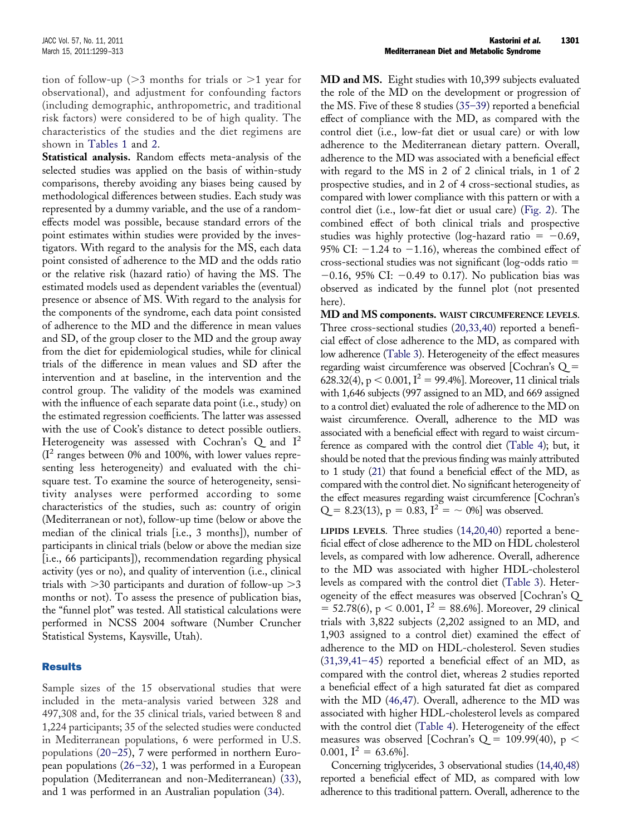tion of follow-up ( $>3$  months for trials or  $>1$  year for observational), and adjustment for confounding factors (including demographic, anthropometric, and traditional risk factors) were considered to be of high quality. The characteristics of the studies and the diet regimens are shown in Tables 1 and 2.

**Statistical analysis.** Random effects meta-analysis of the selected studies was applied on the basis of within-study comparisons, thereby avoiding any biases being caused by methodological differences between studies. Each study was represented by a dummy variable, and the use of a randomeffects model was possible, because standard errors of the point estimates within studies were provided by the investigators. With regard to the analysis for the MS, each data point consisted of adherence to the MD and the odds ratio or the relative risk (hazard ratio) of having the MS. The estimated models used as dependent variables the (eventual) presence or absence of MS. With regard to the analysis for the components of the syndrome, each data point consisted of adherence to the MD and the difference in mean values and SD, of the group closer to the MD and the group away from the diet for epidemiological studies, while for clinical trials of the difference in mean values and SD after the intervention and at baseline, in the intervention and the control group. The validity of the models was examined with the influence of each separate data point (i.e., study) on the estimated regression coefficients. The latter was assessed with the use of Cook's distance to detect possible outliers. Heterogeneity was assessed with Cochran's  $Q$  and  $I^2$  $(I^2)$  ranges between 0% and 100%, with lower values representing less heterogeneity) and evaluated with the chisquare test. To examine the source of heterogeneity, sensitivity analyses were performed according to some characteristics of the studies, such as: country of origin (Mediterranean or not), follow-up time (below or above the median of the clinical trials [i.e., 3 months]), number of participants in clinical trials (below or above the median size [i.e., 66 participants]), recommendation regarding physical activity (yes or no), and quality of intervention (i.e., clinical trials with  $>$ 30 participants and duration of follow-up  $>$ 3 months or not). To assess the presence of publication bias, the "funnel plot" was tested. All statistical calculations were performed in NCSS 2004 software (Number Cruncher Statistical Systems, Kaysville, Utah).

### Results

Sample sizes of the 15 observational studies that were included in the meta-analysis varied between 328 and 497,308 and, for the 35 clinical trials, varied between 8 and 1,224 participants; 35 of the selected studies were conducted in Mediterranean populations, 6 were performed in U.S. populations [\(20–25\)](#page-13-6), 7 were performed in northern European populations [\(26–32\)](#page-13-7), 1 was performed in a European population (Mediterranean and non-Mediterranean) [\(33\)](#page-13-8), and 1 was performed in an Australian population [\(34\)](#page-13-9).

**MD and MS.** Eight studies with 10,399 subjects evaluated the role of the MD on the development or progression of the MS. Five of these 8 studies [\(35–39\)](#page-13-10) reported a beneficial effect of compliance with the MD, as compared with the control diet (i.e., low-fat diet or usual care) or with low adherence to the Mediterranean dietary pattern. Overall, adherence to the MD was associated with a beneficial effect with regard to the MS in 2 of 2 clinical trials, in 1 of 2 prospective studies, and in 2 of 4 cross-sectional studies, as compared with lower compliance with this pattern or with a control diet (i.e., low-fat diet or usual care) (Fig. 2). The combined effect of both clinical trials and prospective studies was highly protective (log-hazard ratio =  $-0.69$ , 95% CI:  $-1.24$  to  $-1.16$ ), whereas the combined effect of cross-sectional studies was not significant (log-odds ratio -  $-0.16$ , 95% CI:  $-0.49$  to 0.17). No publication bias was observed as indicated by the funnel plot (not presented here).

**MD and MS components. WAIST CIRCUMFERENCE LEVELS.** Three cross-sectional studies [\(20,33,40\)](#page-13-6) reported a beneficial effect of close adherence to the MD, as compared with low adherence (Table 3). Heterogeneity of the effect measures regarding waist circumference was observed [Cochran's Q - 628.32(4), p < 0.001, I<sup>2</sup> = 99.4%]. Moreover, 11 clinical trials with 1,646 subjects (997 assigned to an MD, and 669 assigned to a control diet) evaluated the role of adherence to the MD on waist circumference. Overall, adherence to the MD was associated with a beneficial effect with regard to waist circumference as compared with the control diet (Table 4); but, it should be noted that the previous finding was mainly attributed to 1 study [\(21\)](#page-13-11) that found a beneficial effect of the MD, as compared with the control diet. No significant heterogeneity of the effect measures regarding waist circumference [Cochran's  $Q = 8.23(13), p = 0.83, I^2 = \sim 0\%$  was observed.

**LIPIDS LEVELS.** Three studies [\(14,20,40\)](#page-13-12) reported a beneficial effect of close adherence to the MD on HDL cholesterol levels, as compared with low adherence. Overall, adherence to the MD was associated with higher HDL-cholesterol levels as compared with the control diet (Table 3). Heterogeneity of the effect measures was observed [Cochran's Q  $= 52.78(6)$ , p < 0.001, I<sup>2</sup> = 88.6%]. Moreover, 29 clinical trials with 3,822 subjects (2,202 assigned to an MD, and 1,903 assigned to a control diet) examined the effect of adherence to the MD on HDL-cholesterol. Seven studies [\(31,39,41–45\)](#page-13-13) reported a beneficial effect of an MD, as compared with the control diet, whereas 2 studies reported a beneficial effect of a high saturated fat diet as compared with the MD [\(46,47\)](#page-13-14). Overall, adherence to the MD was associated with higher HDL-cholesterol levels as compared with the control diet (Table 4). Heterogeneity of the effect measures was observed [Cochran's Q = 109.99(40), p  $<$ 0.001,  $I^2 = 63.6\%$ ].

Concerning triglycerides, 3 observational studies [\(14,40,48\)](#page-13-12) reported a beneficial effect of MD, as compared with low adherence to this traditional pattern. Overall, adherence to the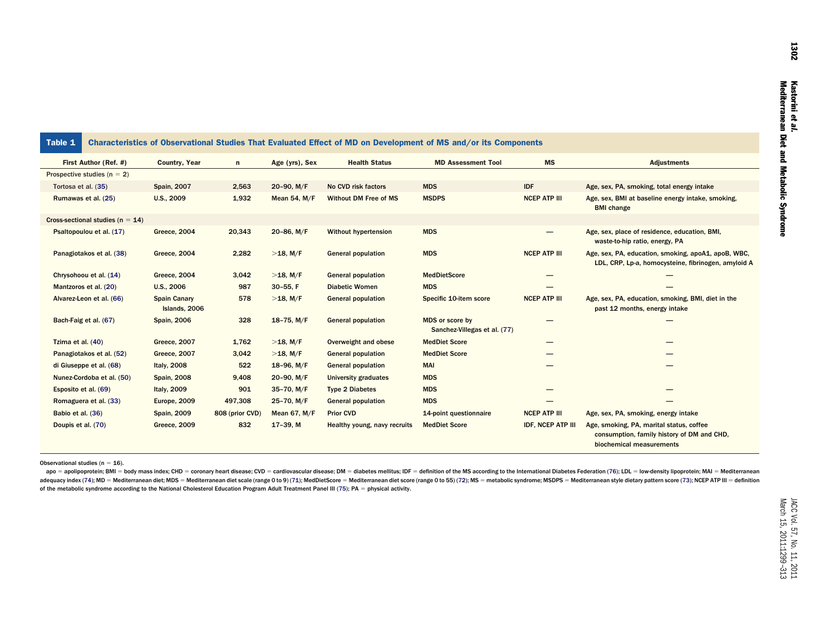| Table 1                              |                                      |                 |                     |                              | Characteristics of Observational Studies That Evaluated Effect of MD on Development of MS and/or its Components |                          |                                                                                                                    |
|--------------------------------------|--------------------------------------|-----------------|---------------------|------------------------------|-----------------------------------------------------------------------------------------------------------------|--------------------------|--------------------------------------------------------------------------------------------------------------------|
| First Author (Ref. #)                | <b>Country, Year</b>                 | $\mathsf{n}$    | Age (yrs), Sex      | <b>Health Status</b>         | <b>MD Assessment Tool</b>                                                                                       | <b>MS</b>                | <b>Adjustments</b>                                                                                                 |
| Prospective studies ( $n = 2$ )      |                                      |                 |                     |                              |                                                                                                                 |                          |                                                                                                                    |
| Tortosa et al. (35)                  | <b>Spain, 2007</b>                   | 2,563           | 20-90, M/F          | No CVD risk factors          | <b>MDS</b>                                                                                                      | <b>IDF</b>               | Age, sex, PA, smoking, total energy intake                                                                         |
| Rumawas et al. (25)                  | U.S., 2009                           | 1,932           | <b>Mean 54, M/F</b> | Without DM Free of MS        | <b>MSDPS</b>                                                                                                    | <b>NCEP ATP III</b>      | Age, sex, BMI at baseline energy intake, smoking,<br><b>BMI</b> change                                             |
| Cross-sectional studies ( $n = 14$ ) |                                      |                 |                     |                              |                                                                                                                 |                          |                                                                                                                    |
| Psaltopoulou et al. (17)             | Greece, 2004                         | 20,343          | 20-86, M/F          | <b>Without hypertension</b>  | <b>MDS</b>                                                                                                      |                          | Age, sex, place of residence, education, BMI,<br>waste-to-hip ratio, energy, PA                                    |
| Panagiotakos et al. (38)             | Greece, 2004                         | 2,282           | $>18$ , M/F         | <b>General population</b>    | <b>MDS</b>                                                                                                      | <b>NCEP ATP III</b>      | Age, sex, PA, education, smoking, apoA1, apoB, WBC,<br>LDL, CRP, Lp-a, homocysteine, fibrinogen, amyloid A         |
| Chrysohoou et al. (14)               | Greece, 2004                         | 3,042           | $>18$ , M/F         | <b>General population</b>    | <b>MedDietScore</b>                                                                                             |                          |                                                                                                                    |
| Mantzoros et al. (20)                | U.S., 2006                           | 987             | $30-55$ , F         | <b>Diabetic Women</b>        | <b>MDS</b>                                                                                                      |                          |                                                                                                                    |
| Alvarez-Leon et al. (66)             | <b>Spain Canary</b><br>Islands, 2006 | 578             | $>18$ , M/F         | <b>General population</b>    | Specific 10-item score                                                                                          | <b>NCEP ATP III</b>      | Age, sex, PA, education, smoking, BMI, diet in the<br>past 12 months, energy intake                                |
| Bach-Faig et al. (67)                | <b>Spain, 2006</b>                   | 328             | 18-75, $M/F$        | <b>General population</b>    | MDS or score by<br>Sanchez-Villegas et al. (77)                                                                 |                          |                                                                                                                    |
| Tzima et al. (40)                    | <b>Greece, 2007</b>                  | 1,762           | $>18$ , M/F         | Overweight and obese         | <b>MedDiet Score</b>                                                                                            |                          |                                                                                                                    |
| Panagiotakos et al. (52)             | <b>Greece, 2007</b>                  | 3,042           | $>18$ , M/F         | <b>General population</b>    | <b>MedDiet Score</b>                                                                                            |                          |                                                                                                                    |
| di Giuseppe et al. (68)              | Italy, 2008                          | 522             | 18-96, $M/F$        | <b>General population</b>    | <b>MAI</b>                                                                                                      |                          |                                                                                                                    |
| Nunez-Cordoba et al. (50)            | <b>Spain, 2008</b>                   | 9,408           | 20-90, M/F          | <b>University graduates</b>  | <b>MDS</b>                                                                                                      |                          |                                                                                                                    |
| Esposito et al. (69)                 | Italy, 2009                          | 901             | $35-70$ , M/F       | <b>Type 2 Diabetes</b>       | <b>MDS</b>                                                                                                      |                          |                                                                                                                    |
| Romaguera et al. (33)                | Europe, 2009                         | 497,308         | 25-70, M/F          | <b>General population</b>    | <b>MDS</b>                                                                                                      |                          |                                                                                                                    |
| Babio et al. (36)                    | <b>Spain, 2009</b>                   | 808 (prior CVD) | <b>Mean 67, M/F</b> | <b>Prior CVD</b>             | 14-point questionnaire                                                                                          | <b>NCEP ATP III</b>      | Age, sex, PA, smoking, energy intake                                                                               |
| Doupis et al. (70)                   | Greece, 2009                         | 832             | $17-39. M$          | Healthy young, navy recruits | <b>MedDiet Score</b>                                                                                            | <b>IDF, NCEP ATP III</b> | Age, smoking, PA, marital status, coffee<br>consumption, family history of DM and CHD,<br>biochemical measurements |

Observational studies (n = 16).

apo = apolipoprotein; BMI = body mass index; CHD = coronary heart disease; CVD = cardiovascular disease; DM = diabetes mellitus; IDF = definition of the MS according to the International Diabetes Federation [\(76\)](#page-14-8); LDL = low adequacy index [\(74\)](#page-14-9); MD = Mediterranean diet; MDS = Mediterranean diet scale (range 0 to 9) [\(71\)](#page-14-10); MedDietScore = Mediterranean diet score (range 0 to 55) [\(72\)](#page-14-11); MS = metabolic syndrome; MSDPS = Mediterranean style dietary p of the metabolic syndrome according to the National Cholesterol Education Program Adult Treatment Panel III [\(75\)](#page-14-13); PA = physical activity.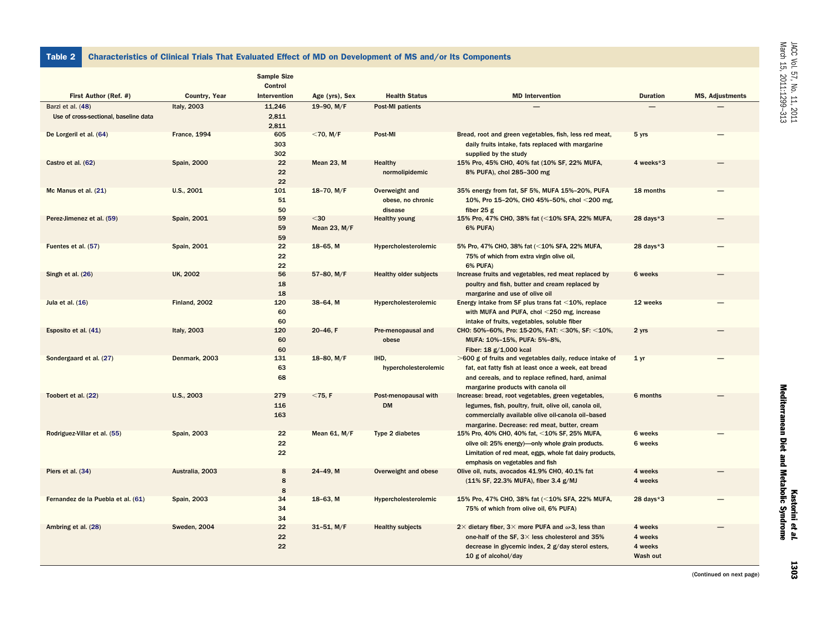Table 2 Characteristics of Clinical Trials That Evaluated Effect of MD on Development of MS and/or Its Components

|                                                            |                     | <b>Sample Size</b><br><b>Control</b> |                      |                                                |                                                                                                                                                                                                                   |                                           |                        |
|------------------------------------------------------------|---------------------|--------------------------------------|----------------------|------------------------------------------------|-------------------------------------------------------------------------------------------------------------------------------------------------------------------------------------------------------------------|-------------------------------------------|------------------------|
| First Author (Ref. #)                                      | Country, Year       | Intervention                         | Age (yrs), Sex       | <b>Health Status</b>                           | <b>MD</b> Intervention                                                                                                                                                                                            | <b>Duration</b>                           | <b>MS, Adjustments</b> |
| Barzi et al. (48)<br>Use of cross-sectional, baseline data | Italy, 2003         | 11,246<br>2,811<br>2,811             | 19-90, M/F           | <b>Post-MI patients</b>                        |                                                                                                                                                                                                                   |                                           |                        |
| De Lorgeril et al. (64)                                    | <b>France, 1994</b> | 605<br>303<br>302                    | $<$ 70, M/F          | Post-MI                                        | Bread, root and green vegetables, fish, less red meat,<br>daily fruits intake, fats replaced with margarine<br>supplied by the study                                                                              | 5 yrs                                     |                        |
| Castro et al. (62)                                         | <b>Spain, 2000</b>  | 22<br>22<br>22                       | Mean 23, M           | <b>Healthy</b><br>normolipidemic               | 15% Pro, 45% CHO, 40% fat (10% SF, 22% MUFA,<br>8% PUFA), chol 285-300 mg                                                                                                                                         | 4 weeks*3                                 |                        |
| Mc Manus et al. (21)                                       | U.S., 2001          | 101<br>51<br>50                      | $18-70$ , M/F        | Overweight and<br>obese, no chronic<br>disease | 35% energy from fat, SF 5%, MUFA 15%-20%, PUFA<br>10%, Pro 15-20%, CHO 45%-50%, chol <200 mg,<br>fiber $25g$                                                                                                      | 18 months                                 |                        |
| Perez-Jimenez et al. (59)                                  | Spain, 2001         | 59<br>59<br>59                       | $30$<br>Mean 23, M/F | <b>Healthy young</b>                           | 15% Pro, 47% CHO, 38% fat (<10% SFA, 22% MUFA,<br><b>6% PUFA)</b>                                                                                                                                                 | 28 days $*3$                              |                        |
| Fuentes et al. (57)                                        | Spain, 2001         | 22<br>22<br>22                       | $18-65$ , M          | Hypercholesterolemic                           | 5% Pro, 47% CHO, 38% fat (<10% SFA, 22% MUFA,<br>75% of which from extra virgin olive oil,<br><b>6% PUFA)</b>                                                                                                     | $28$ days $*3$                            |                        |
| Singh et al. (26)                                          | <b>UK, 2002</b>     | 56<br>18<br>18                       | 57-80, M/F           | <b>Healthy older subjects</b>                  | Increase fruits and vegetables, red meat replaced by<br>poultry and fish, butter and cream replaced by<br>margarine and use of olive oil                                                                          | 6 weeks                                   |                        |
| Jula et al. $(16)$                                         | Finland, 2002       | 120<br>60<br>60                      | $38-64$ , M          | Hypercholesterolemic                           | Energy intake from SF plus trans fat $\leq$ 10%, replace<br>with MUFA and PUFA, chol <250 mg, increase<br>intake of fruits, vegetables, soluble fiber                                                             | 12 weeks                                  |                        |
| Esposito et al. (41)                                       | Italy, 2003         | 120<br>60<br>60                      | $20-46, F$           | Pre-menopausal and<br>obese                    | CHO: 50%-60%, Pro: 15-20%, FAT: <30%, SF: <10%,<br>MUFA: 10%-15%, PUFA: 5%-8%,<br>Fiber: 18 g/1,000 kcal                                                                                                          | 2 yrs                                     |                        |
| Sondergaard et al. (27)                                    | Denmark, 2003       | 131<br>63<br>68                      | 18-80, $M/F$         | IHD,<br>hypercholesterolemic                   | >600 g of fruits and vegetables daily, reduce intake of<br>fat, eat fatty fish at least once a week, eat bread<br>and cereals, and to replace refined, hard, animal<br>margarine products with canola oil         | 1 <sub>yr</sub>                           |                        |
| Toobert et al. (22)                                        | U.S., 2003          | 279<br>116<br>163                    | $<$ 75, F            | Post-menopausal with<br><b>DM</b>              | Increase: bread, root vegetables, green vegetables,<br>legumes, fish, poultry, fruit, olive oil, canola oil,<br>commercially available olive oil-canola oil-based<br>margarine. Decrease: red meat, butter, cream | 6 months                                  |                        |
| Rodriguez-Villar et al. (55)                               | <b>Spain, 2003</b>  | 22<br>22<br>22                       | Mean 61, M/F         | Type 2 diabetes                                | 15% Pro, 40% CHO, 40% fat, <10% SF, 25% MUFA,<br>olive oil: 25% energy)—only whole grain products.<br>Limitation of red meat, eggs, whole fat dairy products,<br>emphasis on vegetables and fish                  | 6 weeks<br>6 weeks                        |                        |
| Piers et al. (34)                                          | Australia, 2003     | 8<br>8<br>8                          | 24-49, M             | Overweight and obese                           | Olive oil, nuts, avocados 41.9% CHO, 40.1% fat<br>(11% SF, 22.3% MUFA), fiber 3.4 g/MJ                                                                                                                            | 4 weeks<br>4 weeks                        |                        |
| Fernandez de la Puebla et al. (61)                         | <b>Spain, 2003</b>  | 34<br>34<br>34                       | 18-63, M             | Hypercholesterolemic                           | 15% Pro, 47% CHO, 38% fat (<10% SFA, 22% MUFA,<br>75% of which from olive oil, 6% PUFA)                                                                                                                           | $28$ days $*3$                            |                        |
| Ambring et al. (28)                                        | <b>Sweden, 2004</b> | 22<br>22<br>22                       | $31-51$ , M/F        | <b>Healthy subjects</b>                        | 2 $\times$ dietary fiber, 3 $\times$ more PUFA and $\omega$ -3, less than<br>one-half of the SF, 3× less cholesterol and 35%<br>decrease in glycemic index, 2 g/day sterol esters,<br>10 $g$ of alcohol/day       | 4 weeks<br>4 weeks<br>4 weeks<br>Wash out |                        |

1303

(Continued on next page)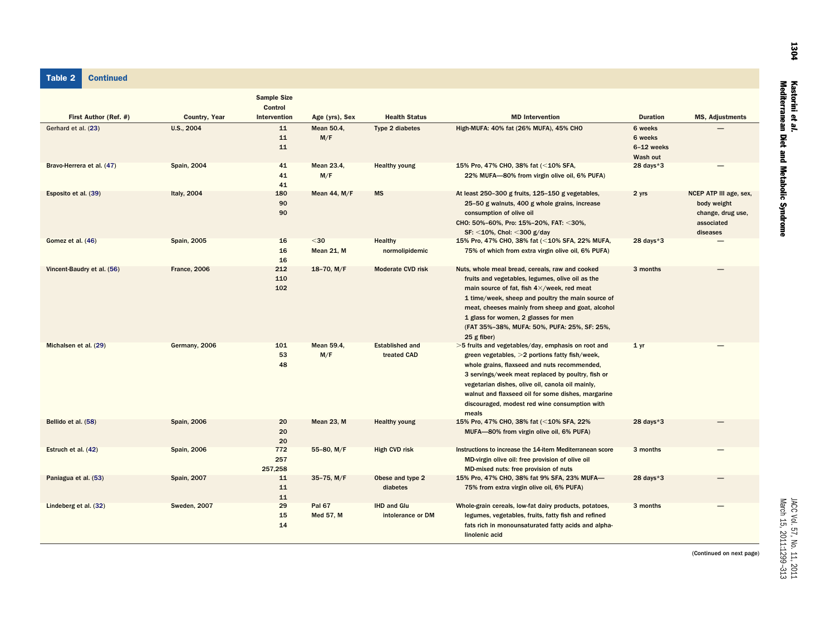#### Table 2 **Continued**

|                            |                     | <b>Sample Size</b><br><b>Control</b> |                           |                                         |                                                                                                                                                                                                                                                                                                                                                                               |                                              |                                                                                      |
|----------------------------|---------------------|--------------------------------------|---------------------------|-----------------------------------------|-------------------------------------------------------------------------------------------------------------------------------------------------------------------------------------------------------------------------------------------------------------------------------------------------------------------------------------------------------------------------------|----------------------------------------------|--------------------------------------------------------------------------------------|
| First Author (Ref. #)      | Country, Year       | Intervention                         | Age (yrs), Sex            | <b>Health Status</b>                    | <b>MD</b> Intervention                                                                                                                                                                                                                                                                                                                                                        | <b>Duration</b>                              | <b>MS, Adjustments</b>                                                               |
| Gerhard et al. (23)        | U.S., 2004          | 11<br>11<br>11                       | Mean 50.4,<br>M/F         | Type 2 diabetes                         | High-MUFA: 40% fat (26% MUFA), 45% CHO                                                                                                                                                                                                                                                                                                                                        | 6 weeks<br>6 weeks<br>6-12 weeks<br>Wash out |                                                                                      |
| Bravo-Herrera et al. (47)  | <b>Spain, 2004</b>  | 41<br>41<br>41                       | Mean 23.4,<br>M/F         | <b>Healthy young</b>                    | 15% Pro, 47% CHO, 38% fat (<10% SFA,<br>22% MUFA-80% from virgin olive oil, 6% PUFA)                                                                                                                                                                                                                                                                                          | $28$ days $*3$                               |                                                                                      |
| Esposito et al. (39)       | Italy, 2004         | 180<br>90<br>90                      | <b>Mean 44, M/F</b>       | <b>MS</b>                               | At least 250-300 g fruits, 125-150 g vegetables,<br>25-50 g walnuts, 400 g whole grains, increase<br>consumption of olive oil<br>CHO: 50%-60%, Pro: 15%-20%, FAT: <30%,<br>$SF: < 10\%$ , Chol: <300 g/day                                                                                                                                                                    | 2 yrs                                        | NCEP ATP III age, sex,<br>body weight<br>change, drug use,<br>associated<br>diseases |
| Gomez et al. (46)          | <b>Spain, 2005</b>  | 16<br>16<br>16                       | $30$<br><b>Mean 21, M</b> | <b>Healthy</b><br>normolipidemic        | 15% Pro, 47% CHO, 38% fat (<10% SFA, 22% MUFA,<br>75% of which from extra virgin olive oil, 6% PUFA)                                                                                                                                                                                                                                                                          | $28$ days $*3$                               |                                                                                      |
| Vincent-Baudry et al. (56) | <b>France, 2006</b> | 212<br>110<br>102                    | $18-70$ , M/F             | <b>Moderate CVD risk</b>                | Nuts, whole meal bread, cereals, raw and cooked<br>fruits and vegetables, legumes, olive oil as the<br>main source of fat, fish 4×/week, red meat<br>1 time/week, sheep and poultry the main source of<br>meat, cheeses mainly from sheep and goat, alcohol<br>1 glass for women, 2 glasses for men<br>(FAT 35%-38%, MUFA: 50%, PUFA: 25%, SF: 25%,<br>$25$ g fiber)          | 3 months                                     |                                                                                      |
| Michalsen et al. (29)      | Germany, 2006       | 101<br>53<br>48                      | Mean 59.4,<br>M/F         | <b>Established and</b><br>treated CAD   | >5 fruits and vegetables/day, emphasis on root and<br>green vegetables, >2 portions fatty fish/week,<br>whole grains, flaxseed and nuts recommended,<br>3 servings/week meat replaced by poultry, fish or<br>vegetarian dishes, olive oil, canola oil mainly,<br>walnut and flaxseed oil for some dishes, margarine<br>discouraged, modest red wine consumption with<br>meals | 1 <sub>yr</sub>                              |                                                                                      |
| Bellido et al. (58)        | <b>Spain, 2006</b>  | 20<br>20<br>20                       | Mean 23, M                | <b>Healthy young</b>                    | 15% Pro, 47% CHO, 38% fat (<10% SFA, 22%<br>MUFA-80% from virgin olive oil, 6% PUFA)                                                                                                                                                                                                                                                                                          | 28 days $*3$                                 |                                                                                      |
| Estruch et al. (42)        | <b>Spain, 2006</b>  | 772<br>257<br>257,258                | 55-80, M/F                | <b>High CVD risk</b>                    | Instructions to increase the 14-item Mediterranean score<br>MD-virgin olive oil: free provision of olive oil<br>MD-mixed nuts: free provision of nuts                                                                                                                                                                                                                         | 3 months                                     |                                                                                      |
| Paniagua et al. (53)       | <b>Spain, 2007</b>  | 11<br>11<br>11                       | $35-75$ , M/F             | Obese and type 2<br>diabetes            | 15% Pro, 47% CHO, 38% fat 9% SFA, 23% MUFA-<br>75% from extra virgin olive oil, 6% PUFA)                                                                                                                                                                                                                                                                                      | 28 days $*3$                                 |                                                                                      |
| Lindeberg et al. (32)      | <b>Sweden, 2007</b> | 29<br>15<br>14                       | Pal 67<br>Med 57, M       | <b>IHD and Glu</b><br>intolerance or DM | Whole-grain cereals, low-fat dairy products, potatoes,<br>legumes, vegetables, fruits, fatty fish and refined<br>fats rich in monounsaturated fatty acids and alpha-<br>linolenic acid                                                                                                                                                                                        | 3 months                                     |                                                                                      |

(Continued on next page)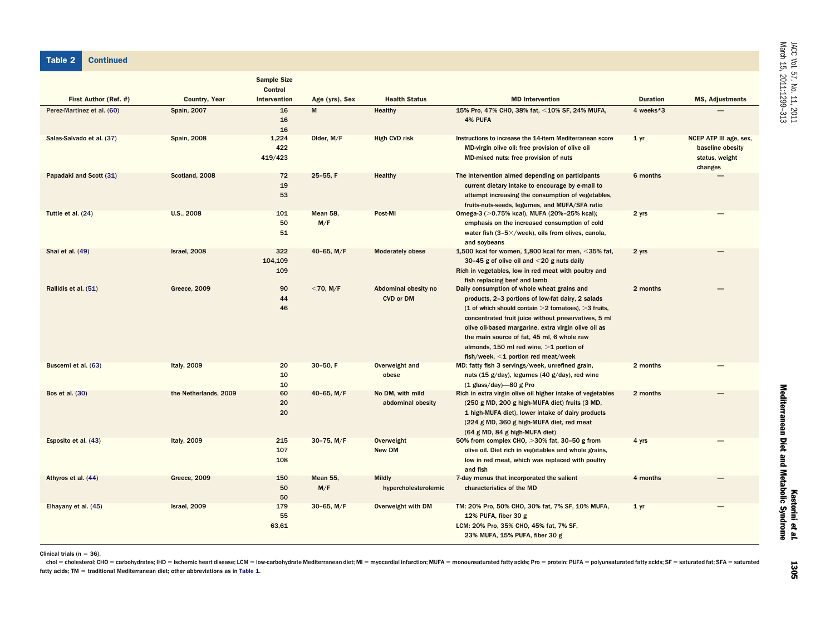Table 2 **Continued** 

|                            |                       | <b>Sample Size</b><br><b>Control</b> |                 |                                          |                                                                                                                                                                                                                                                                                                                                                                                                                 |                 |                                                                         |
|----------------------------|-----------------------|--------------------------------------|-----------------|------------------------------------------|-----------------------------------------------------------------------------------------------------------------------------------------------------------------------------------------------------------------------------------------------------------------------------------------------------------------------------------------------------------------------------------------------------------------|-----------------|-------------------------------------------------------------------------|
| First Author (Ref. #)      | <b>Country, Year</b>  | Intervention                         | Age (yrs), Sex  | <b>Health Status</b>                     | <b>MD</b> Intervention                                                                                                                                                                                                                                                                                                                                                                                          | <b>Duration</b> | <b>MS, Adjustments</b>                                                  |
| Perez-Martinez et al. (60) | <b>Spain, 2007</b>    | 16<br>16<br>16                       | M               | Healthy                                  | 15% Pro, 47% CHO, 38% fat, <10% SF, 24% MUFA,<br>4% PUFA                                                                                                                                                                                                                                                                                                                                                        | 4 weeks*3       |                                                                         |
| Salas-Salvado et al. (37)  | <b>Spain, 2008</b>    | 1,224<br>422<br>419/423              | Older, M/F      | <b>High CVD risk</b>                     | Instructions to increase the 14-item Mediterranean score<br>MD-virgin olive oil: free provision of olive oil<br>MD-mixed nuts: free provision of nuts                                                                                                                                                                                                                                                           | 1 <sub>yr</sub> | NCEP ATP III age, sex,<br>baseline obesity<br>status, weight<br>changes |
| Papadaki and Scott (31)    | Scotland, 2008        | 72<br>19<br>53                       | 25-55, F        | Healthy                                  | The intervention aimed depending on participants<br>current dietary intake to encourage by e-mail to<br>attempt increasing the consumption of vegetables,<br>fruits-nuts-seeds, legumes, and MUFA/SFA ratio                                                                                                                                                                                                     | 6 months        |                                                                         |
| Tuttle et al. (24)         | U.S., 2008            | 101<br>50<br>51                      | Mean 58,<br>M/F | Post-MI                                  | Omega-3 (>0.75% kcal), MUFA (20%-25% kcal);<br>emphasis on the increased consumption of cold<br>water fish $(3-5\times$ /week), oils from olives, canola,<br>and soybeans                                                                                                                                                                                                                                       | 2 yrs           |                                                                         |
| Shai et al. (49)           | Israel, 2008          | 322<br>104,109<br>109                | 40-65, M/F      | <b>Moderately obese</b>                  | 1,500 kcal for women, 1,800 kcal for men, $\leq$ 35% fat,<br>30-45 g of olive oil and $\leq$ 20 g nuts daily<br>Rich in vegetables, low in red meat with poultry and<br>fish replacing beef and lamb                                                                                                                                                                                                            | 2 yrs           |                                                                         |
| Rallidis et al. (51)       | <b>Greece, 2009</b>   | 90<br>44<br>46                       | $<$ 70, M/F     | Abdominal obesity no<br><b>CVD or DM</b> | Daily consumption of whole wheat grains and<br>products, 2-3 portions of low-fat dairy, 2 salads<br>(1 of which should contain $>$ 2 tomatoes), $>$ 3 fruits,<br>concentrated fruit juice without preservatives, 5 ml<br>olive oil-based margarine, extra virgin olive oil as<br>the main source of fat, 45 ml, 6 whole raw<br>almonds, 150 ml red wine, $>1$ portion of<br>fish/week, <1 portion red meat/week | 2 months        |                                                                         |
| Buscemi et al. (63)        | Italy, 2009           | 20<br>10<br>10                       | 30-50, F        | Overweight and<br>obese                  | MD: fatty fish 3 servings/week, unrefined grain,<br>nuts (15 g/day), legumes (40 g/day), red wine<br>$(1$ glass/day)-80 g Pro                                                                                                                                                                                                                                                                                   | 2 months        |                                                                         |
| Bos et al. (30)            | the Netherlands, 2009 | 60<br>20<br>20                       | 40-65, $M/F$    | No DM, with mild<br>abdominal obesity    | Rich in extra virgin olive oil higher intake of vegetables<br>(250 g MD, 200 g high-MUFA diet) fruits (3 MD,<br>1 high-MUFA diet), lower intake of dairy products<br>(224 g MD, 360 g high-MUFA diet, red meat<br>(64 g MD, 84 g high-MUFA diet)                                                                                                                                                                | 2 months        |                                                                         |
| Esposito et al. (43)       | Italy, 2009           | 215<br>107<br>108                    | $30-75$ , M/F   | Overweight<br>New DM                     | 50% from complex CHO, >30% fat, 30-50 g from<br>olive oil. Diet rich in vegetables and whole grains,<br>low in red meat, which was replaced with poultry<br>and fish                                                                                                                                                                                                                                            | 4 yrs           |                                                                         |
| Athyros et al. (44)        | Greece, 2009          | 150<br>50<br>50                      | Mean 55,<br>M/F | <b>Mildly</b><br>hypercholesterolemic    | 7-day menus that incorporated the salient<br>characteristics of the MD                                                                                                                                                                                                                                                                                                                                          | 4 months        |                                                                         |
| Elhayany et al. (45)       | Israel, 2009          | 179<br>55<br>63,61                   | $30-65$ , M/F   | Overweight with DM                       | TM: 20% Pro, 50% CHO, 30% fat, 7% SF, 10% MUFA,<br>12% PUFA, fiber 30 g<br>LCM: 20% Pro, 35% CHO, 45% fat, 7% SF,<br>23% MUFA, 15% PUFA, fiber 30 g                                                                                                                                                                                                                                                             | 1 <sub>yr</sub> |                                                                         |

Clinical trials (n  $= 36$ ).

chol = cholesterol; CHO = carbohydrates; IHD = ischemic heart disease; LCM = low-carbohydrate Mediterranean diet; MI = myocardial infarction; MUFA = monounsaturated fatty acids; Pro = protein; PUFA = polyunsaturated fatty fatty acids; TM  $\,=\,$  traditional Mediterranean diet; other abbreviations as in Table 1.

1305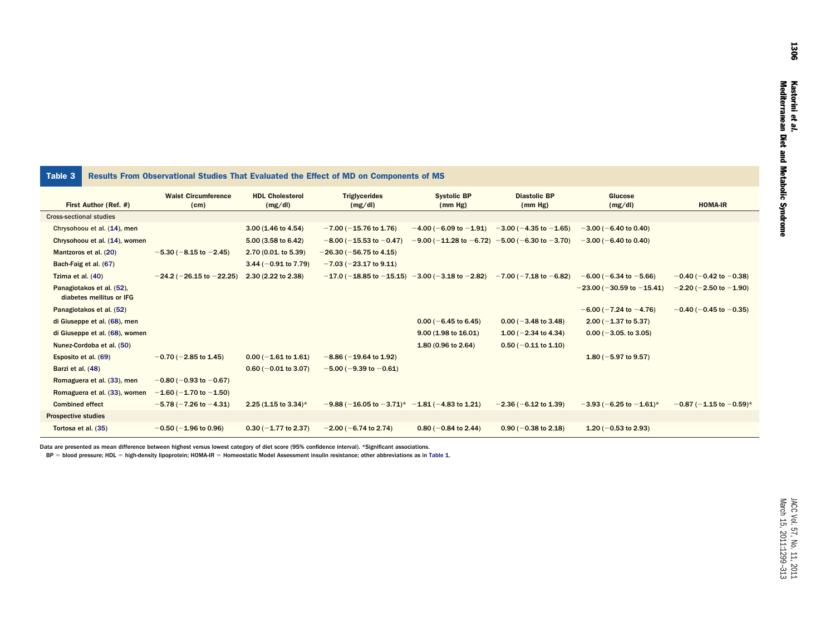### Table 3 Results From Observational Studies That Evaluated the Effect of MD on Components of MS

|                                                       | <b>Waist Circumference</b>       | <b>HDL Cholesterol</b>  | <b>Triglycerides</b>                                | <b>Systolic BP</b>                              | <b>Diastolic BP</b>             | Glucose                           |                                |
|-------------------------------------------------------|----------------------------------|-------------------------|-----------------------------------------------------|-------------------------------------------------|---------------------------------|-----------------------------------|--------------------------------|
| First Author (Ref. #)                                 | (cm)                             | (mg/dl)                 | (mg/dl)                                             | (mm Hg)                                         | (mm Hg)                         | (mg/dl)                           | <b>HOMA-IR</b>                 |
| <b>Cross-sectional studies</b>                        |                                  |                         |                                                     |                                                 |                                 |                                   |                                |
| Chrysohoou et al. (14), men                           |                                  | 3.00 (1.46 to 4.54)     | $-7.00$ ( $-15.76$ to 1.76)                         | $-4.00$ (-6.09 to $-1.91$ )                     | $-3.00$ ( $-4.35$ to $-1.65$ )  | $-3.00$ (-6.40 to 0.40)           |                                |
| Chrysohoou et al. (14), women                         |                                  | 5.00 (3.58 to 6.42)     | $-8.00$ ( $-15.53$ to $-0.47$ )                     | $-9.00$ ( $-11.28$ to $-6.72$ )                 | $-5.00$ (-6.30 to $-3.70$ )     | $-3.00$ ( $-6.40$ to 0.40)        |                                |
| Mantzoros et al. (20)                                 | $-5.30$ ( $-8.15$ to $-2.45$ )   | $2.70(0.01.$ to 5.39)   | $-26.30$ ( $-56.75$ to 4.15)                        |                                                 |                                 |                                   |                                |
| Bach-Faig et al. (67)                                 |                                  | 3.44 ( $-0.91$ to 7.79) | $-7.03$ ( $-23.17$ to 9.11)                         |                                                 |                                 |                                   |                                |
| Tzima et al. (40)                                     | $-24.2$ ( $-26.15$ to $-22.25$ ) | 2.30 (2.22 to 2.38)     | $-17.0$ ( $-18.85$ to $-15.15$ )                    | $-3.00$ (-3.18 to -2.82) -7.00 (-7.18 to -6.82) |                                 | $-6.00$ ( $-6.34$ to $-5.66$ )    | $-0.40$ ( $-0.42$ to $-0.38$ ) |
| Panagiotakos et al. (52),<br>diabetes mellitus or IFG |                                  |                         |                                                     |                                                 |                                 | $-23.00$ ( $-30.59$ to $-15.41$ ) | $-2.20$ ( $-2.50$ to $-1.90$ ) |
| Panagiotakos et al. (52)                              |                                  |                         |                                                     |                                                 |                                 | $-6.00$ ( $-7.24$ to $-4.76$ )    | $-0.40$ ( $-0.45$ to $-0.35$ ) |
| di Giuseppe et al. (68), men                          |                                  |                         |                                                     | $0.00$ (-6.45 to 6.45)                          | $0.00$ (-3.48 to 3.48)          | $2.00$ (-1.37 to 5.37)            |                                |
| di Giuseppe et al. (68), women                        |                                  |                         |                                                     | 9.00 (1.98 to 16.01)                            | 1.00 ( $-2.34$ to 4.34)         | $0.00$ (-3.05. to 3.05)           |                                |
| Nunez-Cordoba et al. (50)                             |                                  |                         |                                                     | 1.80 (0.96 to 2.64)                             | $0.50$ (-0.11 to 1.10)          |                                   |                                |
| Esposito et al. (69)                                  | $-0.70$ ( $-2.85$ to 1.45)       | $0.00$ (-1.61 to 1.61)  | $-8.86$ ( $-19.64$ to 1.92)                         |                                                 |                                 | 1.80 ( $-5.97$ to 9.57)           |                                |
| Barzi et al. (48)                                     |                                  | $0.60$ (-0.01 to 3.07)  | $-5.00$ ( $-9.39$ to $-0.61$ )                      |                                                 |                                 |                                   |                                |
| Romaguera et al. (33), men                            | $-0.80$ ( $-0.93$ to $-0.67$ )   |                         |                                                     |                                                 |                                 |                                   |                                |
| Romaguera et al. (33), women                          | $-1.60$ (-1.70 to -1.50)         |                         |                                                     |                                                 |                                 |                                   |                                |
| <b>Combined effect</b>                                | $-5.78(-7.26 \text{ to } -4.31)$ | 2.25 (1.15 to 3.34)*    | $-9.88$ (-16.05 to $-3.71$ )* -1.81 (-4.83 to 1.21) |                                                 | $-2.36(-6.12 \text{ to } 1.39)$ | $-3.93$ (-6.25 to $-1.61$ )*      | $-0.87$ (-1.15 to $-0.59$ )*   |
| <b>Prospective studies</b>                            |                                  |                         |                                                     |                                                 |                                 |                                   |                                |
| Tortosa et al. (35)                                   | $-0.50$ ( $-1.96$ to 0.96)       | $0.30 (-1.77$ to 2.37)  | $-2.00$ ( $-6.74$ to 2.74)                          | $0.80$ (-0.84 to 2.44)                          | $0.90$ (-0.38 to 2.18)          | 1.20 ( $-0.53$ to 2.93)           |                                |

Data are presented as mean difference between highest versus lowest category of diet score (95% confidence interval). \*Significant associations.

BP = blood pressure; HDL = high-density lipoprotein; HOMA-IR = Homeostatic Model Assessment insulin resistance; other abbreviations as in Table 1.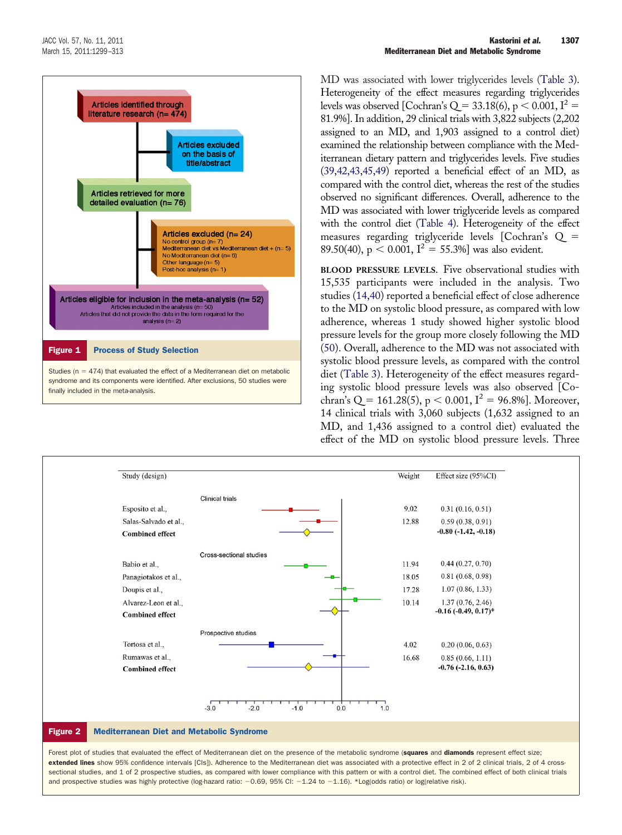

MD was associated with lower triglycerides levels (Table 3). Heterogeneity of the effect measures regarding triglycerides levels was observed [Cochran's Q = 33.18(6),  $p < 0.001$ , I<sup>2</sup> = 81.9%]. In addition, 29 clinical trials with 3,822 subjects (2,202 assigned to an MD, and 1,903 assigned to a control diet) examined the relationship between compliance with the Mediterranean dietary pattern and triglycerides levels. Five studies [\(39,42,43,45,49\)](#page-13-45) reported a beneficial effect of an MD, as compared with the control diet, whereas the rest of the studies observed no significant differences. Overall, adherence to the MD was associated with lower triglyceride levels as compared with the control diet (Table 4). Heterogeneity of the effect measures regarding triglyceride levels [Cochran's Q - 89.50(40),  $p < 0.001$ ,  $I^2 = 55.3\%$ ] was also evident.

**BLOOD PRESSURE LEVELS.** Five observational studies with 15,535 participants were included in the analysis. Two studies [\(14,40\)](#page-13-12) reported a beneficial effect of close adherence to the MD on systolic blood pressure, as compared with low adherence, whereas 1 study showed higher systolic blood pressure levels for the group more closely following the MD [\(50\)](#page-14-29). Overall, adherence to the MD was not associated with systolic blood pressure levels, as compared with the control diet (Table 3). Heterogeneity of the effect measures regarding systolic blood pressure levels was also observed [Cochran's Q = 161.28(5), p < 0.001, I<sup>2</sup> = 96.8%]. Moreover, 14 clinical trials with 3,060 subjects (1,632 assigned to an MD, and 1,436 assigned to a control diet) evaluated the effect of the MD on systolic blood pressure levels. Three



Forest plot of studies that evaluated the effect of Mediterranean diet on the presence of the metabolic syndrome (squares and diamonds represent effect size: extended lines show 95% confidence intervals [CIs]). Adherence to the Mediterranean diet was associated with a protective effect in 2 of 2 clinical trials, 2 of 4 crosssectional studies, and 1 of 2 prospective studies, as compared with lower compliance with this pattern or with a control diet. The combined effect of both clinical trials and prospective studies was highly protective (log-hazard ratio:  $-0.69$ , 95% CI:  $-1.24$  to  $-1.16$ ). \*Log(odds ratio) or log(relative risk).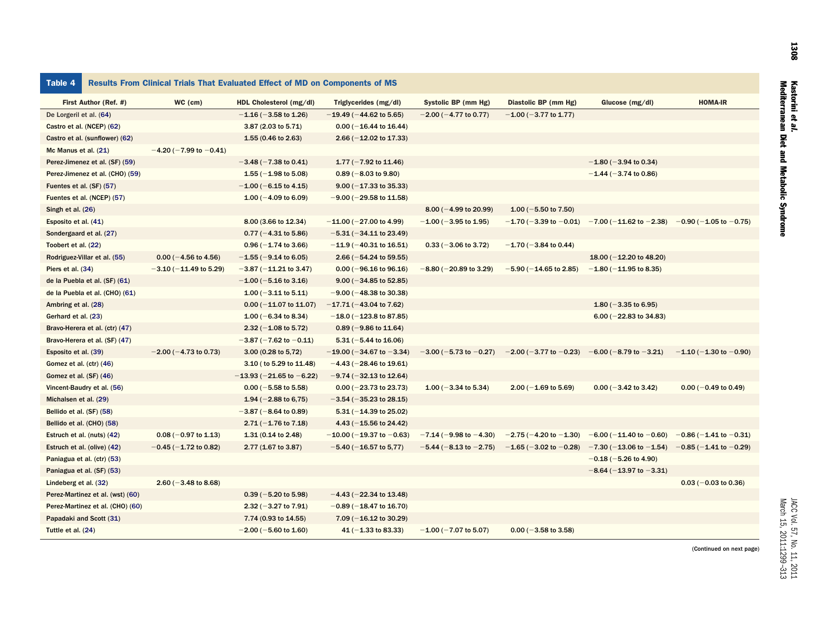| <b>Table 4</b>                   |                                 | Results From Clinical Trials That Evaluated Effect of MD on Components of MS |                                   |                                  |                                                 |                                                                         |                                 |
|----------------------------------|---------------------------------|------------------------------------------------------------------------------|-----------------------------------|----------------------------------|-------------------------------------------------|-------------------------------------------------------------------------|---------------------------------|
| First Author (Ref. #)            | WC (cm)                         | HDL Cholesterol (mg/dl)                                                      | Triglycerides (mg/dl)             | Systolic BP (mm Hg)              | Diastolic BP (mm Hg)                            | Glucose (mg/dl)                                                         | <b>HOMA-IR</b>                  |
| De Lorgeril et al. (64)          |                                 | $-1.16$ ( $-3.58$ to 1.26)                                                   | $-19.49$ ( $-44.62$ to 5.65)      | $-2.00$ ( $-4.77$ to 0.77)       | $-1.00$ ( $-3.77$ to 1.77)                      |                                                                         |                                 |
| Castro et al. (NCEP) (62)        |                                 | 3.87 (2.03 to 5.71)                                                          | $0.00$ (-16.44 to 16.44)          |                                  |                                                 |                                                                         |                                 |
| Castro et al. (sunflower) (62)   |                                 | 1.55 (0.46 to 2.63)                                                          | $2.66$ (-12.02 to 17.33)          |                                  |                                                 |                                                                         |                                 |
| Mc Manus et al. (21)             | $-4.20$ (-7.99 to -0.41)        |                                                                              |                                   |                                  |                                                 |                                                                         |                                 |
| Perez-Jimenez et al. (SF) (59)   |                                 | $-3.48$ ( $-7.38$ to 0.41)                                                   | 1.77 ( $-7.92$ to 11.46)          |                                  |                                                 | $-1.80$ ( $-3.94$ to 0.34)                                              |                                 |
| Perez-Jimenez et al. (CHO) (59)  |                                 | 1.55 ( $-1.98$ to 5.08)                                                      | $0.89$ (-8.03 to 9.80)            |                                  |                                                 | $-1.44 (-3.74 \text{ to } 0.86)$                                        |                                 |
| Fuentes et al. (SF) (57)         |                                 | $-1.00$ (-6.15 to 4.15)                                                      | $9.00 (-17.33$ to 35.33)          |                                  |                                                 |                                                                         |                                 |
| Fuentes et al. (NCEP) (57)       |                                 | $1.00 (-4.09 to 6.09)$                                                       | $-9.00$ ( $-29.58$ to 11.58)      |                                  |                                                 |                                                                         |                                 |
| Singh et al. (26)                |                                 |                                                                              |                                   | $8.00 (-4.99 \text{ to } 20.99)$ | 1.00 ( $-5.50$ to 7.50)                         |                                                                         |                                 |
| Esposito et al. (41)             |                                 | 8.00 (3.66 to 12.34)                                                         | $-11.00$ (-27.00 to 4.99)         | $-1.00$ ( $-3.95$ to 1.95)       |                                                 | $-1.70$ (-3.39 to -0.01) -7.00 (-11.62 to -2.38) -0.90 (-1.05 to -0.75) |                                 |
| Sondergaard et al. (27)          |                                 | $0.77 (-4.31 to 5.86)$                                                       | $-5.31$ ( $-34.11$ to 23.49)      |                                  |                                                 |                                                                         |                                 |
| Toobert et al. (22)              |                                 | $0.96 (-1.74 \text{ to } 3.66)$                                              | $-11.9$ ( $-40.31$ to 16.51)      | $0.33 (-3.06 to 3.72)$           | $-1.70$ ( $-3.84$ to 0.44)                      |                                                                         |                                 |
| Rodriguez-Villar et al. (55)     | $0.00$ (-4.56 to 4.56)          | $-1.55$ ( $-9.14$ to 6.05)                                                   | $2.66$ (-54.24 to 59.55)          |                                  |                                                 | 18.00 ( $-12.20$ to 48.20)                                              |                                 |
| Piers et al. (34)                | $-3.10$ ( $-11.49$ to 5.29)     | $-3.87 (-11.21$ to 3.47)                                                     | $0.00$ (-96.16 to 96.16)          | $-8.80$ ( $-20.89$ to 3.29)      | $-5.90$ ( $-14.65$ to 2.85)                     | $-1.80$ ( $-11.95$ to 8.35)                                             |                                 |
| de la Puebla et al. (SF) (61)    |                                 | $-1.00$ ( $-5.16$ to 3.16)                                                   | $9.00$ (-34.85 to 52.85)          |                                  |                                                 |                                                                         |                                 |
| de la Puebla et al. (CHO) (61)   |                                 | $1.00 (-3.11$ to 5.11)                                                       | $-9.00$ ( $-48.38$ to 30.38)      |                                  |                                                 |                                                                         |                                 |
| Ambring et al. (28)              |                                 | $0.00$ (-11.07 to 11.07)                                                     | $-17.71(-43.04 \text{ to } 7.62)$ |                                  |                                                 | 1.80 ( $-3.35$ to 6.95)                                                 |                                 |
| Gerhard et al. (23)              |                                 | $1.00 (-6.34 \text{ to } 8.34)$                                              | $-18.0$ (-123.8 to 87.85)         |                                  |                                                 | $6.00$ (-22.83 to 34.83)                                                |                                 |
| Bravo-Herera et al. (ctr) (47)   |                                 | $2.32 (-1.08 to 5.72)$                                                       | $0.89$ (-9.86 to 11.64)           |                                  |                                                 |                                                                         |                                 |
| Bravo-Herera et al. (SF) (47)    |                                 | $-3.87$ ( $-7.62$ to $-0.11$ )                                               | $5.31 (-5.44 \text{ to } 16.06)$  |                                  |                                                 |                                                                         |                                 |
| Esposito et al. (39)             | $-2.00$ ( $-4.73$ to 0.73)      | 3.00 (0.28 to 5,72)                                                          | $-19.00$ ( $-34.67$ to $-3.34$ )  | $-3.00$ (-5.73 to -0.27)         | $-2.00$ (-3.77 to -0.23) -6.00 (-8.79 to -3.21) |                                                                         | $-1.10$ (-1.30 to -0.90)        |
| Gomez et al. (ctr) (46)          |                                 | 3.10 ( to 5.29 to 11.48)                                                     | $-4.43$ ( $-28.46$ to 19.61)      |                                  |                                                 |                                                                         |                                 |
| Gomez et al. (SF) (46)           |                                 | $-13.93 (-21.65 to -6.22)$                                                   | $-9.74$ ( $-32.13$ to 12.64)      |                                  |                                                 |                                                                         |                                 |
| Vincent-Baudry et al. (56)       |                                 | $0.00$ (-5.58 to 5.58)                                                       | $0.00 (-23.73$ to 23.73)          | 1.00 ( $-3.34$ to 5.34)          | $2.00$ (-1.69 to 5.69)                          | $0.00$ (-3.42 to 3.42)                                                  | $0.00 (-0.49 \text{ to } 0.49)$ |
| Michalsen et al. (29)            |                                 | 1.94 ( $-2.88$ to 6,75)                                                      | $-3.54$ ( $-35.23$ to 28.15)      |                                  |                                                 |                                                                         |                                 |
| Bellido et al. (SF) (58)         |                                 | $-3.87$ ( $-8.64$ to 0.89)                                                   | $5.31 (-14.39$ to 25.02)          |                                  |                                                 |                                                                         |                                 |
| Bellido et al. (CHO) (58)        |                                 | $2.71 (-1.76 \text{ to } 7.18)$                                              | 4.43 $(-15.56$ to 24.42)          |                                  |                                                 |                                                                         |                                 |
| Estruch et al. (nuts) (42)       | $0.08 (-0.97 \text{ to } 1.13)$ | $1.31(0.14 \text{ to } 2.48)$                                                | $-10.00$ (-19.37 to -0.63)        | $-7.14$ ( $-9.98$ to $-4.30$ )   | $-2.75$ ( $-4.20$ to $-1.30$ )                  | $-6.00$ ( $-11.40$ to $-0.60$ )                                         | $-0.86$ ( $-1.41$ to $-0.31$ )  |
| Estruch et al. (olive) (42)      | $-0.45$ ( $-1.72$ to 0.82)      | 2.77 (1.67 to 3.87)                                                          | $-5.40$ ( $-16.57$ to 5,77)       | $-5.44$ ( $-8.13$ to $-2.75$ )   | $-1.65$ ( $-3.02$ to $-0.28$ )                  | $-7.30$ (-13.06 to -1.54) -0.85 (-1.41 to -0.29)                        |                                 |
| Paniagua et al. (ctr) (53)       |                                 |                                                                              |                                   |                                  |                                                 | $-0.18$ ( $-5.26$ to 4.90)                                              |                                 |
| Paniagua et al. (SF) (53)        |                                 |                                                                              |                                   |                                  |                                                 | $-8.64$ ( $-13.97$ to $-3.31$ )                                         |                                 |
| Lindeberg et al. (32)            | $2.60$ (-3.48 to 8.68)          |                                                                              |                                   |                                  |                                                 |                                                                         | $0.03 (-0.03$ to 0.36)          |
| Perez-Martinez et al. (wst) (60) |                                 | $0.39$ (-5.20 to 5.98)                                                       | $-4.43$ ( $-22.34$ to 13.48)      |                                  |                                                 |                                                                         |                                 |
| Perez-Martinez et al. (CHO) (60) |                                 | $2.32 (-3.27$ to $7.91$ )                                                    | $-0.89$ ( $-18.47$ to 16.70)      |                                  |                                                 |                                                                         |                                 |
| Papadaki and Scott (31)          |                                 | 7.74 (0.93 to 14.55)                                                         | $7.09$ (-16.12 to 30.29)          |                                  |                                                 |                                                                         |                                 |
| Tuttle et al. (24)               |                                 | $-2.00$ ( $-5.60$ to 1.60)                                                   | $41 (-1.33 to 83.33)$             | $-1.00$ ( $-7.07$ to 5.07)       | $0.00$ (-3.58 to 3.58)                          |                                                                         |                                 |

Ī

et al.

Mediterranean Diet and Metabolic Syndrome

(Continued on next page)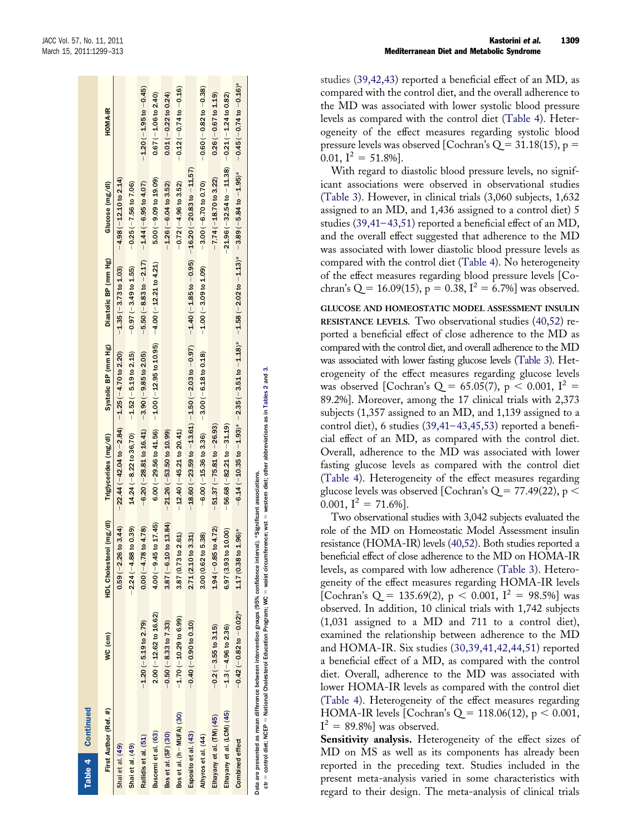Table 4

Table 4

Table 4 Continued

Continued

| First Author (Ref. #)      | WC (cm)                           | HDL Cholesterol (mg/dl)         | Triglycerides (mg/dl)                                                                                                             | Systolic BP (mm Hg)                                                       | Diastolic BP (mm Hg)                              | Glucose (mg/dl)                                                                                                                  | <b>HOMA-IR</b>                  |
|----------------------------|-----------------------------------|---------------------------------|-----------------------------------------------------------------------------------------------------------------------------------|---------------------------------------------------------------------------|---------------------------------------------------|----------------------------------------------------------------------------------------------------------------------------------|---------------------------------|
| Shai et al. (49)           |                                   | $0.59 (-2.26 to 3.44)$          | $-22.44$ ( $-42.04$ to $-2.84$ ) $-1.25$ ( $-4.70$ to 2.20)                                                                       |                                                                           | $-1.35(-3.73$ to $1.03)$                          | $-4.98$ ( $-12.10$ to 2.14)                                                                                                      |                                 |
| Shai et al. (49)           |                                   | $-2.24(-4.88$ to 0.39)          | $14.24$ (-8.22 to 36,70) $-1.52$ (-5.19 to 2.15)                                                                                  |                                                                           | $-0.97(-3.49$ to $1.55)$                          | $-0.25(-7.56$ to $7.06)$                                                                                                         |                                 |
| Rallidis et al. (51)       | $-1.20$ ( $-5.19$ to 2.79)        | $0.00 (-4.78 to 4.78)$          | $-6.20$ ( $-28.81$ to $16.41$ ) $-3.90$ ( $-9.85$ to 2.05)                                                                        |                                                                           | $-5.50(-8.83$ to $-2.17$ ) $-1.44(-6.95$ to 4.07) |                                                                                                                                  | $-1.20$ ( $-1.95$ to $-0.45$ )  |
| Buscemi et al. (63)        | $2.00 (-12.62 \text{ to } 16.62)$ | $4.00 (-9.45 to 17.45)$         |                                                                                                                                   | 6.00 (-29.56 to 41.56) $-1.00$ (-12.95 to 10.95) $-4.00$ (-12.21 to 4.21) |                                                   | $5.00 (-9.09 to 19.09)$                                                                                                          | $0.67 (-1.06 to 2.40)$          |
| Bos et al. (SF) (30)       | $-0.50 (-8.33 to 7.33)$           | $3.87$ (-6.10 to 13.84)         | $-21.26$ ( $-53.50$ to $10.99$ )                                                                                                  |                                                                           |                                                   | $-1.26$ (-6.04 to 3.52)                                                                                                          | $0.01(-0.22 to 0.24)$           |
| Bos et al. (h-MUFA) (30)   | $-1.70$ $(-10.29$ to 6.99)        | 3.87 (0.73 to 2.61)             | $-12.40(-45.21$ to $20.41)$                                                                                                       |                                                                           |                                                   | $-0.72(-4.96$ to 3.52)                                                                                                           | $-0.12(-0.74 to -0.16)$         |
| Esposito et al. (43)       | $(0.10 - 0.90)$ to $0.10)$        | 2.71 (2.10 to 3.31)             | $-18.60$ ( $-23.59$ to $-13.61$ ) $-1.50$ ( $-2.03$ to $-0.97$ ) $-1.40$ ( $-1.85$ to $-0.95$ ) $-16.20$ ( $-20.83$ to $-11.57$ ) |                                                                           |                                                   |                                                                                                                                  |                                 |
| Athyros et al. (44)        |                                   | 3.00 (0.62 to 5.38)             | $-6.00(-15.36$ to 3.36) $-3.00(-6.18$ to 0.18)                                                                                    |                                                                           | $-1.00$ ( $-3.09$ to $1.09$ )                     | $-3.00$ ( $-6.70$ to 0.70)                                                                                                       | $-0.60(-0.82 to -0.38)$         |
| Elhayany et al. (TM) (45)  | $-0.2$ ( $-3.55$ to 3.15)         | $1.94 (-0.85 to 4.72)$          | $-51.37 (-75.81 to -26.93)$                                                                                                       |                                                                           |                                                   | $-7.74 (-18.70 to 3.22)$                                                                                                         | $0.26(-0.67$ to $1.19)$         |
| Elhayany et al. (LCM) (45) | $-1.3$ ( $-4.96$ to 2.36)         | 6.97 (3.93 to 10.00)            | $56.68(-82.21 to -31.19)$                                                                                                         |                                                                           |                                                   | $-21.96 (-32.54 to -11.38) -0.21 (-1.24 to 0.82)$                                                                                |                                 |
| Combined effect            | $-0.42$ ( $-0.82$ to $-0.02$ )*   | $1.17(0.38 \text{ to } 1.96)^*$ |                                                                                                                                   |                                                                           |                                                   | $-6.14$ ( $-10.35$ to $-1.93$ )* $-2.35$ ( $-3.51$ to $-1.18$ )* $-1.58$ ( $-2.02$ to $-1.13$ )* $-3.89$ ( $-5.84$ to $-1.95$ )* | $-0.45$ ( $-0.74$ to $-0.16$ )* |
|                            | ļ                                 |                                 |                                                                                                                                   |                                                                           |                                                   |                                                                                                                                  |                                 |

waist circumference; wst = western diet; other abbreviations as in Tables 2 and 3. western diet; other abbreviations as in Tables 2 and 3. Data are presented as mean difference between intervention groups (95% confidence interval). \*Significant associations. associations issentream  $=$  waist circumference; wst  $=$ interval). contridence National Cholesterol Education Program; WC - $695%$ š = National Cholesterol Education Program; stonbe ntervention ted as mean difference between  $=$  control diet; NCEP  $=$ ctr = control diet; NCEP Jata are preser

studies [\(39,42,43\)](#page-13-45) reported a beneficial effect of an MD, as compared with the control diet, and the overall adherence to the MD was associated with lower systolic blood pressure levels as compared with the control diet (Table 4). Heterogeneity of the effect measures regarding systolic blood pressure levels was observed [Cochran's Q = 31.18(15), p =  $[0.01, I^2 = 51.8\%].$ 

With regard to diastolic blood pressure levels, no significant associations were observed in observational studies (Table 3). However, in clinical trials (3,060 subjects, 1,632 assigned to an MD, and 1,436 assigned to a control diet) 5 studies [\(39,41–43,51\)](#page-13-45) reported a beneficial effect of an MD, and the overall effect suggested that adherence to the MD was associated with lower diastolic blood pressure levels as compared with the control diet (Table 4). No heterogeneity of the effect measures regarding blood pressure levels [Cochran's Q = 16.09(15),  $p = 0.38$ ,  $I^2 = 6.7\%$ ] was observed.

**GLUCOSE AND HOMEOSTATIC MODEL ASSESSMENT INSULIN RESISTANCE LEVELS.** Two observational studies [\(40,52\)](#page-13-46) reported a beneficial effect of close adherence to the MD as compared with the control diet, and overall adherence to the MD was associated with lower fasting glucose levels (Table 3). Heterogeneity of the effect measures regarding glucose levels was observed [Cochran's Q = 65.05(7),  $p < 0.001$ ,  $I^2 =$ 89.2%]. Moreover, among the 17 clinical trials with 2,373 subjects (1,357 assigned to an MD, and 1,139 assigned to a control diet), 6 studies [\(39,41–43,45,53\)](#page-13-45) reported a beneficial effect of an MD, as compared with the control diet. Overall, adherence to the MD was associated with lower fasting glucose levels as compared with the control diet (Table 4). Heterogeneity of the effect measures regarding glucose levels was observed [Cochran's Q = 77.49(22), p  $<$  $0.001, I^2 = 71.6\%$ ].

Two observational studies with 3,042 subjects evaluated the role of the MD on Homeostatic Model Assessment insulin resistance (HOMA-IR) levels [\(40,52\)](#page-13-46). Both studies reported a beneficial effect of close adherence to the MD on HOMA-IR levels, as compared with low adherence (Table 3). Heterogeneity of the effect measures regarding HOMA-IR levels [Cochran's Q = 135.69(2),  $p < 0.001$ ,  $I^2 = 98.5\%$ ] was observed. In addition, 10 clinical trials with 1,742 subjects (1,031 assigned to a MD and 711 to a control diet), examined the relationship between adherence to the MD and HOMA-IR. Six studies [\(30,39,41,42,44,51\)](#page-13-47) reported a beneficial effect of a MD, as compared with the control diet. Overall, adherence to the MD was associated with lower HOMA-IR levels as compared with the control diet (Table 4). Heterogeneity of the effect measures regarding HOMA-IR levels [Cochran's Q = 118.06(12), p < 0.001,  $I^2 = 89.8\%$ ] was observed.

**Sensitivity analysis.** Heterogeneity of the effect sizes of MD on MS as well as its components has already been reported in the preceding text. Studies included in the present meta-analysis varied in some characteristics with regard to their design. The meta-analysis of clinical trials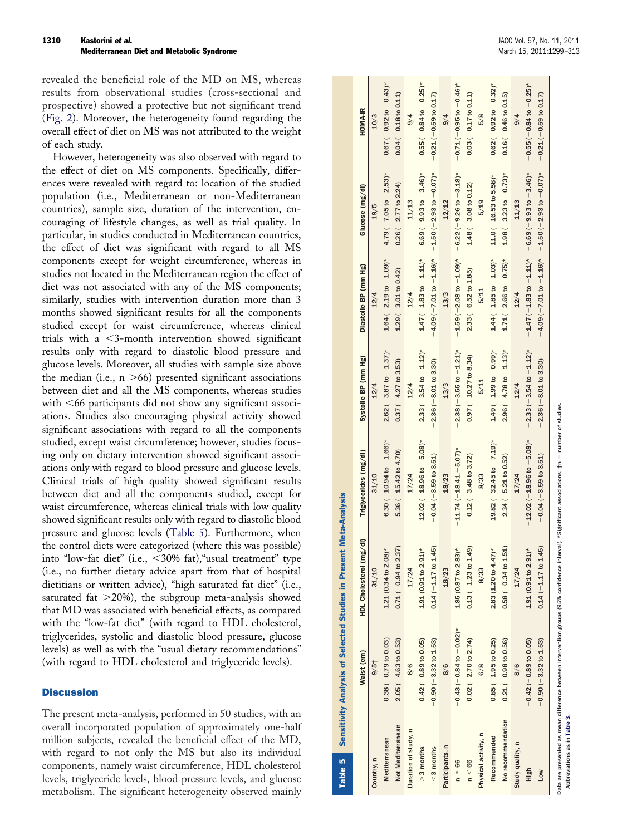revealed the beneficial role of the MD on MS, whereas results from observational studies (cross-sectional and prospective) showed a protective but not significant trend (Fig. 2). Moreover, the heterogeneity found regarding the overall effect of diet on MS was not attributed to the weight of each study.

However, heterogeneity was also observed with regard to the effect of diet on MS components. Specifically, differences were revealed with regard to: location of the studied population (i.e., Mediterranean or non-Mediterranean countries), sample size, duration of the intervention, encouraging of lifestyle changes, as well as trial quality. In particular, in studies conducted in Mediterranean countries, the effect of diet was significant with regard to all MS components except for weight circumference, whereas in studies not located in the Mediterranean region the effect of diet was not associated with any of the MS components; similarly, studies with intervention duration more than 3 months showed significant results for all the components studied except for waist circumference, whereas clinical trials with a 3-month intervention showed significant results only with regard to diastolic blood pressure and glucose levels. Moreover, all studies with sample size above the median (i.e., n 66) presented significant associations between diet and all the MS components, whereas studies with 66 participants did not show any significant associations. Studies also encouraging physical activity showed significant associations with regard to all the components studied, except waist circumference; however, studies focusing only on dietary intervention showed significant associations only with regard to blood pressure and glucose levels. Clinical trials of high quality showed significant results between diet and all the components studied, except for waist circumference, whereas clinical trials with low quality showed significant results only with regard to diastolic blood pressure and glucose levels (Table 5). Furthermore, when the control diets were categorized (where this was possible) into "low-fat diet" (i.e., 30% fat),"usual treatment" type (i.e., no further dietary advice apart from that of hospital dietitians or written advice), "high saturated fat diet" (i.e., saturated fat 20%), the subgroup meta-analysis showed that MD was associated with beneficial effects, as compared with the "low-fat diet" (with regard to HDL cholesterol, triglycerides, systolic and diastolic blood pressure, glucose levels) as well as with the "usual dietary recommendations" (with regard to HDL cholesterol and triglyceride levels).

### **Discussion**

The present meta-analysis, performed in 50 studies, with an overall incorporated population of approximately one-half million subjects, revealed the beneficial effect of the MD, with regard to not only the MS but also its individual components, namely waist circumference, HDL cholesterol levels, triglyceride levels, blood pressure levels, and glucose metabolism. The significant heterogeneity observed mainly

| Table 5              | Sensitivity Analysis of Selected Studies in Present Meta-Analysis                                                                               |                                    |                                  |                                 |                                                                             |                            |                                 |
|----------------------|-------------------------------------------------------------------------------------------------------------------------------------------------|------------------------------------|----------------------------------|---------------------------------|-----------------------------------------------------------------------------|----------------------------|---------------------------------|
|                      | Waist (cm)                                                                                                                                      | HDL Cholesterol (mg/dl)            | Triglycerides (mg/dl)            | Systolic BP (mm Hg)             | Diastolic BP (mm Hg)                                                        | Glucose (mg/dl)            | <b>HOMA-IR</b>                  |
| Country, n           | $9/5$ <sup>†</sup>                                                                                                                              | 31/10                              | 31/10                            | 12/4                            | 12/4                                                                        | 19/5                       | 10/3                            |
| Mediterranean        | $-0.38(-0.79$ to 0.03)                                                                                                                          | $1.21(0.34$ to $2.08)*$            | $-6.30$ ( $-10.94$ to $-1.66$ )* | $-2.62$ (-3.87 to $-1.37$ )*    | $-4.64(-2.19 to -4.09)*$ $-4.79(-7.05 to -2.53)*$                           |                            | $-0.67$ ( $-0.92$ to $-0.43$ )* |
| Not Mediterranean    | $-2.05(-4.63 to 0.53)$                                                                                                                          | (25)<br>$0.71(-0.94 to 2$          | $-5.36(-15.42 to 4.70)$          | $-0.37(-4.27$ to 3.53)          | $-1.29(-3.01$ to 0.42)                                                      | $-0.26$ $(-2.77$ to 2.24)  | $-0.04(-0.18$ to 0.11)          |
| Duration of study, n | 8/6                                                                                                                                             | 17/24                              | 17/24                            | 12/4                            | 12/4                                                                        | 11/13                      | 9/4                             |
| $>3$ months          | $-0.42$ ( $-0.89$ to 0.05)                                                                                                                      | $1.91(0.91$ to $2.91$ <sup>*</sup> | $-12.02$ (-18.96 to -5.08)*      | $-2.33(-3.54 to -1.12)$ *       | $-1.47(-1.83$ to $-1.11$ <sup>*</sup> $-6.69(-9.93$ to $-3.46$ <sup>*</sup> |                            | $-0.55(-0.84 to -0.25)$ *       |
| $<$ 3 months         | $-0.90(-3.32$ to 1.53)                                                                                                                          | $0.14 (-1.17 to 1.45)$             | $-0.04 (-3.59 to 3.51)$          | $-2.36(-8.01$ to 3.30)          | $-4.09(-7.0110 - 1.16)$ $-1.50(-2.9310 - 0.07)$ *                           |                            | $-0.21(-0.59$ to 0.17)          |
| Participants, n      | 8/6                                                                                                                                             | 18/23                              | 18/23                            | 13/3                            | 13/3                                                                        | 12/12                      | 9/4                             |
| $n \geq 66$          | $-0.43(-0.84 to -0.02)^*$                                                                                                                       | $1.85(0.87$ to $2.83)*$            | $-11.74$ ( $-18.41$ , $-5.07$ )* | $-2.38$ ( $-3.55$ to $-4.21$ )* | $-1.59(-2.08 to -1.09)*$ $-6.22(-9.26 to -3.18)*$                           |                            | $-0.71(-0.95 to -0.46)$ *       |
| n < 66               | $0.02 (-2.70 to 2.74)$                                                                                                                          | $0.13 (-1.23 to 1.49)$             | $0.12 (-3.48$ to 3.72)           | $-0.97(-10.27$ to 8.34)         | $-2.33(-6.52$ to $1.85)$                                                    | $-1.48$ ( $-3.08$ to 0.12) | $-0.03(-0.17 to 0.11)$          |
| Physical activity, n | 6/8                                                                                                                                             | 8/33                               | 8/33                             | 5/11                            | 5/11                                                                        | 5/19                       | 5/8                             |
| Recommended          | $-0.85(-1.95$ to 0.25)                                                                                                                          | $2.83(1.20 to 4.47)^*$             | $-19.82$ (-32.45 to $-7.19$ )*   | $-1.49(-1.99 to -0.99)*$        | $-1.44$ ( $-1.85$ to $-1.03$ )* $-11.0$ ( $-16.53$ to $5.58$ )*             |                            | $-0.62$ ( $-0.92$ to $-0.32$ )* |
| No recommendation    | $-0.21$ ( $-0.98$ to 0.56)                                                                                                                      | (51)<br>$0.58(-0.34 to 1$          | $-2.34$ ( $-5.21$ to 0.52)       | $-2.96(-4.78$ to $-1.13)$ *     | $-1.71(-2.66 to -0.75)$ * $-1.98(-3.23 to -0.73)$ *                         |                            | $-0.16$ ( $-0.46$ to 0.15)      |
| Study quality, n     | 8/6                                                                                                                                             | 17/24                              | 17/24                            | 12/4                            | 12/4                                                                        | 11/13                      | $\frac{9}{4}$                   |
| High                 | $-0.42$ ( $-0.89$ to 0.05)                                                                                                                      | $1.91(0.91$ to $2.91$ <sup>*</sup> | $-12.02$ (-18.96 to -5.08)*      | $-2.33(-3.54 to -1.12)^{*}$     | $-1.47(-1.83 to -1.11)*$ -6.69 $(-9.93 to -3.46)*$                          |                            | $-0.55(-0.84 to -0.25)$ *       |
| <b>NOT</b>           | $-0.90$ ( $-3.32$ to $1.53$ )                                                                                                                   | $0.14 (-1.17 to 1.45)$             | $-0.04 (-3.59$ to $3.51)$        | $-2.36(-8.01$ to 3.30)          | $-4.09(-7.01$ to $-1.16$ $*$ $-1.50(-2.93$ to $-0.07)$ $*$                  |                            | $-0.21(-0.59$ to 0.17)          |
|                      | Data are presented as mean difference between intervention groups (95% confidence interval). *Significant associations; †n = number of studies. |                                    |                                  |                                 |                                                                             |                            |                                 |

Abbreviations as in Table 3. Abbreviations as in Table 3.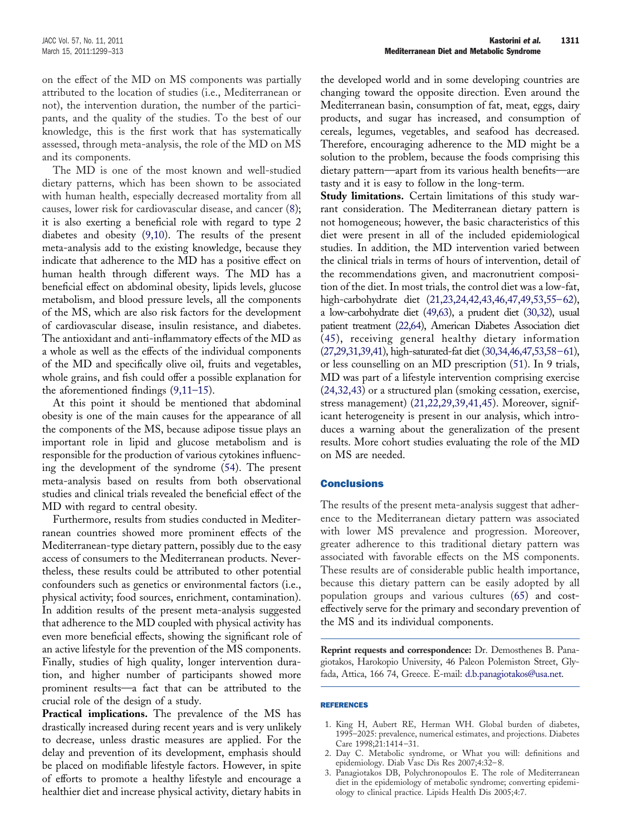on the effect of the MD on MS components was partially attributed to the location of studies (i.e., Mediterranean or not), the intervention duration, the number of the participants, and the quality of the studies. To the best of our knowledge, this is the first work that has systematically assessed, through meta-analysis, the role of the MD on MS and its components.

The MD is one of the most known and well-studied dietary patterns, which has been shown to be associated with human health, especially decreased mortality from all causes, lower risk for cardiovascular disease, and cancer [\(8\)](#page-13-3); it is also exerting a beneficial role with regard to type 2 diabetes and obesity [\(9,10\)](#page-13-4). The results of the present meta-analysis add to the existing knowledge, because they indicate that adherence to the MD has a positive effect on human health through different ways. The MD has a beneficial effect on abdominal obesity, lipids levels, glucose metabolism, and blood pressure levels, all the components of the MS, which are also risk factors for the development of cardiovascular disease, insulin resistance, and diabetes. The antioxidant and anti-inflammatory effects of the MD as a whole as well as the effects of the individual components of the MD and specifically olive oil, fruits and vegetables, whole grains, and fish could offer a possible explanation for the aforementioned findings [\(9,11–15\)](#page-13-4).

At this point it should be mentioned that abdominal obesity is one of the main causes for the appearance of all the components of the MS, because adipose tissue plays an important role in lipid and glucose metabolism and is responsible for the production of various cytokines influencing the development of the syndrome [\(54\)](#page-14-33). The present meta-analysis based on results from both observational studies and clinical trials revealed the beneficial effect of the MD with regard to central obesity.

Furthermore, results from studies conducted in Mediterranean countries showed more prominent effects of the Mediterranean-type dietary pattern, possibly due to the easy access of consumers to the Mediterranean products. Nevertheless, these results could be attributed to other potential confounders such as genetics or environmental factors (i.e., physical activity; food sources, enrichment, contamination). In addition results of the present meta-analysis suggested that adherence to the MD coupled with physical activity has even more beneficial effects, showing the significant role of an active lifestyle for the prevention of the MS components. Finally, studies of high quality, longer intervention duration, and higher number of participants showed more prominent results—a fact that can be attributed to the crucial role of the design of a study.

**Practical implications.** The prevalence of the MS has drastically increased during recent years and is very unlikely to decrease, unless drastic measures are applied. For the delay and prevention of its development, emphasis should be placed on modifiable lifestyle factors. However, in spite of efforts to promote a healthy lifestyle and encourage a healthier diet and increase physical activity, dietary habits in

the developed world and in some developing countries are changing toward the opposite direction. Even around the Mediterranean basin, consumption of fat, meat, eggs, dairy products, and sugar has increased, and consumption of cereals, legumes, vegetables, and seafood has decreased. Therefore, encouraging adherence to the MD might be a solution to the problem, because the foods comprising this dietary pattern—apart from its various health benefits—are tasty and it is easy to follow in the long-term.

**Study limitations.** Certain limitations of this study warrant consideration. The Mediterranean dietary pattern is not homogeneous; however, the basic characteristics of this diet were present in all of the included epidemiological studies. In addition, the MD intervention varied between the clinical trials in terms of hours of intervention, detail of the recommendations given, and macronutrient composition of the diet. In most trials, the control diet was a low-fat, high-carbohydrate diet [\(21,23,24,42,43,46,47,49,53,55–62\)](#page-13-11), a low-carbohydrate diet [\(49,63\)](#page-14-30), a prudent diet [\(30,32\)](#page-13-47), usual patient treatment [\(22,64\)](#page-13-51), American Diabetes Association diet [\(45\)](#page-13-50), receiving general healthy dietary information [\(27,29,31,39,41\)](#page-13-52), high-saturated-fat diet [\(30,34,46,47,53,58–61\)](#page-13-47), or less counselling on an MD prescription [\(51\)](#page-14-31). In 9 trials, MD was part of a lifestyle intervention comprising exercise [\(24,32,43\)](#page-13-53) or a structured plan (smoking cessation, exercise, stress management) [\(21,22,29,39,41,45\)](#page-13-11). Moreover, significant heterogeneity is present in our analysis, which introduces a warning about the generalization of the present results. More cohort studies evaluating the role of the MD on MS are needed.

## **Conclusions**

The results of the present meta-analysis suggest that adherence to the Mediterranean dietary pattern was associated with lower MS prevalence and progression. Moreover, greater adherence to this traditional dietary pattern was associated with favorable effects on the MS components. These results are of considerable public health importance, because this dietary pattern can be easily adopted by all population groups and various cultures [\(65\)](#page-14-34) and costeffectively serve for the primary and secondary prevention of the MS and its individual components.

**Reprint requests and correspondence:** Dr. Demosthenes B. Panagiotakos, Harokopio University, 46 Paleon Polemiston Street, Glyfada, Attica, 166 74, Greece. E-mail: [d.b.panagiotakos@usa.net.](mailto:d.b.panagiotakos@usa.net)

### <span id="page-12-0"></span>REFERENCES

- <span id="page-12-1"></span>1. King H, Aubert RE, Herman WH. Global burden of diabetes, 1995–2025: prevalence, numerical estimates, and projections. Diabetes Care 1998;21:1414–31.
- 2. Day C. Metabolic syndrome, or What you will: definitions and epidemiology. Diab Vasc Dis Res 2007;4:32–8.
- 3. Panagiotakos DB, Polychronopoulos E. The role of Mediterranean diet in the epidemiology of metabolic syndrome; converting epidemiology to clinical practice. Lipids Health Dis 2005;4:7.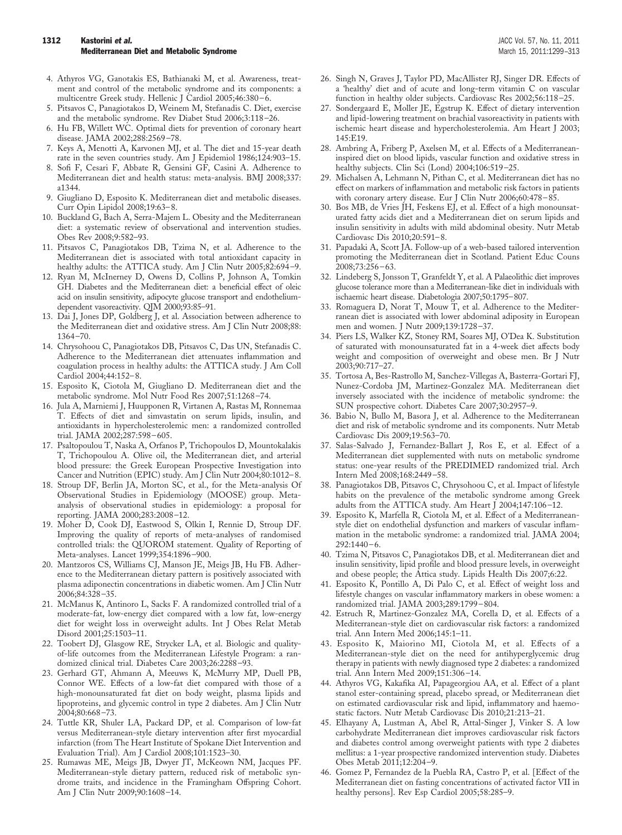- <span id="page-13-40"></span><span id="page-13-32"></span><span id="page-13-16"></span>4. Athyros VG, Ganotakis ES, Bathianaki M, et al. Awareness, treatment and control of the metabolic syndrome and its components: a multicentre Greek study. Hellenic J Cardiol 2005;46:380–6.
- <span id="page-13-0"></span>5. Pitsavos C, Panagiotakos D, Weinem M, Stefanadis C. Diet, exercise and the metabolic syndrome. Rev Diabet Stud 2006;3:118–26.
- <span id="page-13-2"></span><span id="page-13-1"></span>6. Hu FB, Willett WC. Optimal diets for prevention of coronary heart disease. JAMA 2002;288:2569–78.
- <span id="page-13-3"></span>7. Keys A, Menotti A, Karvonen MJ, et al. The diet and 15-year death rate in the seven countries study. Am J Epidemiol 1986;124:903–15.
- 8. Sofi F, Cesari F, Abbate R, Gensini GF, Casini A. Adherence to Mediterranean diet and health status: meta-analysis. BMJ 2008;337: a1344.
- <span id="page-13-4"></span>Giugliano D, Esposito K. Mediterranean diet and metabolic diseases. Curr Opin Lipidol 2008;19:63–8.
- 10. Buckland G, Bach A, Serra-Majem L. Obesity and the Mediterranean diet: a systematic review of observational and intervention studies. Obes Rev 2008;9:582–93.
- 11. Pitsavos C, Panagiotakos DB, Tzima N, et al. Adherence to the Mediterranean diet is associated with total antioxidant capacity in healthy adults: the ATTICA study. Am J Clin Nutr 2005;82:694–9.
- 12. Ryan M, McInerney D, Owens D, Collins P, Johnson A, Tomkin GH. Diabetes and the Mediterranean diet: a beneficial effect of oleic acid on insulin sensitivity, adipocyte glucose transport and endotheliumdependent vasoreactivity. QJM 2000;93:85–91.
- <span id="page-13-44"></span><span id="page-13-43"></span><span id="page-13-34"></span>13. Dai J, Jones DP, Goldberg J, et al. Association between adherence to the Mediterranean diet and oxidative stress. Am J Clin Nutr 2008;88: 1364–70.
- <span id="page-13-12"></span>14. Chrysohoou C, Panagiotakos DB, Pitsavos C, Das UN, Stefanadis C. Adherence to the Mediterranean diet attenuates inflammation and coagulation process in healthy adults: the ATTICA study. J Am Coll Cardiol 2004;44:152–8.
- 15. Esposito K, Ciotola M, Giugliano D. Mediterranean diet and the metabolic syndrome. Mol Nutr Food Res 2007;51:1268–74.
- 16. Jula A, Marniemi J, Huupponen R, Virtanen A, Rastas M, Ronnemaa T. Effects of diet and simvastatin on serum lipids, insulin, and antioxidants in hypercholesterolemic men: a randomized controlled trial. JAMA 2002;287:598–605.
- 17. Psaltopoulou T, Naska A, Orfanos P, Trichopoulos D, Mountokalakis T, Trichopoulou A. Olive oil, the Mediterranean diet, and arterial blood pressure: the Greek European Prospective Investigation into Cancer and Nutrition (EPIC) study. Am J Clin Nutr 2004;80:1012–8.
- <span id="page-13-5"></span>18. Stroup DF, Berlin JA, Morton SC, et al., for the Meta-analysis Of Observational Studies in Epidemiology (MOOSE) group. Metaanalysis of observational studies in epidemiology: a proposal for reporting. JAMA 2000;283:2008–12.
- 19. Moher D, Cook DJ, Eastwood S, Olkin I, Rennie D, Stroup DF. Improving the quality of reports of meta-analyses of randomised controlled trials: the QUOROM statement. Quality of Reporting of Meta-analyses. Lancet 1999;354:1896–900.
- <span id="page-13-6"></span>20. Mantzoros CS, Williams CJ, Manson JE, Meigs JB, Hu FB. Adherence to the Mediterranean dietary pattern is positively associated with plasma adiponectin concentrations in diabetic women. Am J Clin Nutr 2006;84:328–35.
- <span id="page-13-11"></span>21. McManus K, Antinoro L, Sacks F. A randomized controlled trial of a moderate-fat, low-energy diet compared with a low fat, low-energy diet for weight loss in overweight adults. Int J Obes Relat Metab Disord 2001;25:1503–11.
- <span id="page-13-51"></span>22. Toobert DJ, Glasgow RE, Strycker LA, et al. Biologic and qualityof-life outcomes from the Mediterranean Lifestyle Program: a randomized clinical trial. Diabetes Care 2003;26:2288–93.
- 23. Gerhard GT, Ahmann A, Meeuws K, McMurry MP, Duell PB, Connor WE. Effects of a low-fat diet compared with those of a high-monounsaturated fat diet on body weight, plasma lipids and lipoproteins, and glycemic control in type 2 diabetes. Am J Clin Nutr 2004;80:668–73.
- <span id="page-13-53"></span>24. Tuttle KR, Shuler LA, Packard DP, et al. Comparison of low-fat versus Mediterranean-style dietary intervention after first myocardial infarction (from The Heart Institute of Spokane Diet Intervention and Evaluation Trial). Am J Cardiol 2008;101:1523–30.
- 25. Rumawas ME, Meigs JB, Dwyer JT, McKeown NM, Jacques PF. Mediterranean-style dietary pattern, reduced risk of metabolic syndrome traits, and incidence in the Framingham Offspring Cohort. Am J Clin Nutr 2009;90:1608–14.
- <span id="page-13-29"></span><span id="page-13-26"></span><span id="page-13-24"></span><span id="page-13-20"></span><span id="page-13-19"></span><span id="page-13-17"></span><span id="page-13-7"></span>26. Singh N, Graves J, Taylor PD, MacAllister RJ, Singer DR. Effects of a 'healthy' diet and of acute and long-term vitamin C on vascular function in healthy older subjects. Cardiovasc Res 2002;56:118–25.
- <span id="page-13-52"></span>27. Sondergaard E, Moller JE, Egstrup K. Effect of dietary intervention and lipid-lowering treatment on brachial vasoreactivity in patients with ischemic heart disease and hypercholesterolemia. Am Heart J 2003; 145:E19.
- 28. Ambring A, Friberg P, Axelsen M, et al. Effects of a Mediterraneaninspired diet on blood lipids, vascular function and oxidative stress in healthy subjects. Clin Sci (Lond) 2004;106:519–25.
- 29. Michalsen A, Lehmann N, Pithan C, et al. Mediterranean diet has no effect on markers of inflammation and metabolic risk factors in patients with coronary artery disease. Eur J Clin Nutr 2006;60:478–85.
- <span id="page-13-47"></span>30. Bos MB, de Vries JH, Feskens EJ, et al. Effect of a high monounsaturated fatty acids diet and a Mediterranean diet on serum lipids and insulin sensitivity in adults with mild abdominal obesity. Nutr Metab Cardiovasc Dis 2010;20:591–8.
- <span id="page-13-13"></span>31. Papadaki A, Scott JA. Follow-up of a web-based tailored intervention promoting the Mediterranean diet in Scotland. Patient Educ Couns 2008;73:256–63.
- 32. Lindeberg S, Jonsson T, Granfeldt Y, et al. A Palaeolithic diet improves glucose tolerance more than a Mediterranean-like diet in individuals with ischaemic heart disease. Diabetologia 2007;50:1795–807.
- <span id="page-13-42"></span><span id="page-13-39"></span><span id="page-13-38"></span><span id="page-13-37"></span><span id="page-13-36"></span><span id="page-13-33"></span><span id="page-13-30"></span><span id="page-13-27"></span><span id="page-13-23"></span><span id="page-13-22"></span><span id="page-13-21"></span><span id="page-13-18"></span><span id="page-13-15"></span><span id="page-13-8"></span>33. Romaguera D, Norat T, Mouw T, et al. Adherence to the Mediterranean diet is associated with lower abdominal adiposity in European men and women. J Nutr 2009;139:1728–37.
- <span id="page-13-41"></span><span id="page-13-35"></span><span id="page-13-31"></span><span id="page-13-28"></span><span id="page-13-25"></span><span id="page-13-9"></span>34. Piers LS, Walker KZ, Stoney RM, Soares MJ, O'Dea K. Substitution of saturated with monounsaturated fat in a 4-week diet affects body weight and composition of overweight and obese men. Br J Nutr 2003;90:717–27.
- <span id="page-13-10"></span>35. Tortosa A, Bes-Rastrollo M, Sanchez-Villegas A, Basterra-Gortari FJ, Nunez-Cordoba JM, Martinez-Gonzalez MA. Mediterranean diet inversely associated with the incidence of metabolic syndrome: the SUN prospective cohort. Diabetes Care 2007;30:2957–9.
- 36. Babio N, Bullo M, Basora J, et al. Adherence to the Mediterranean diet and risk of metabolic syndrome and its components. Nutr Metab Cardiovasc Dis 2009;19:563–70.
- 37. Salas-Salvado J, Fernandez-Ballart J, Ros E, et al. Effect of a Mediterranean diet supplemented with nuts on metabolic syndrome status: one-year results of the PREDIMED randomized trial. Arch Intern Med 2008;168:2449–58.
- 38. Panagiotakos DB, Pitsavos C, Chrysohoou C, et al. Impact of lifestyle habits on the prevalence of the metabolic syndrome among Greek adults from the ATTICA study. Am Heart J 2004;147:106–12.
- <span id="page-13-45"></span>39. Esposito K, Marfella R, Ciotola M, et al. Effect of a Mediterraneanstyle diet on endothelial dysfunction and markers of vascular inflammation in the metabolic syndrome: a randomized trial. JAMA 2004; 292:1440–6.
- <span id="page-13-46"></span>40. Tzima N, Pitsavos C, Panagiotakos DB, et al. Mediterranean diet and insulin sensitivity, lipid profile and blood pressure levels, in overweight and obese people; the Attica study. Lipids Health Dis 2007;6:22.
- 41. Esposito K, Pontillo A, Di Palo C, et al. Effect of weight loss and lifestyle changes on vascular inflammatory markers in obese women: a randomized trial. JAMA 2003;289:1799–804.
- <span id="page-13-48"></span>42. Estruch R, Martinez-Gonzalez MA, Corella D, et al. Effects of a Mediterranean-style diet on cardiovascular risk factors: a randomized trial. Ann Intern Med 2006;145:1–11.
- 43. Esposito K, Maiorino MI, Ciotola M, et al. Effects of a Mediterranean-style diet on the need for antihyperglycemic drug therapy in patients with newly diagnosed type 2 diabetes: a randomized trial. Ann Intern Med 2009;151:306–14.
- <span id="page-13-49"></span>44. Athyros VG, Kakafika AI, Papageorgiou AA, et al. Effect of a plant stanol ester-containing spread, placebo spread, or Mediterranean diet on estimated cardiovascular risk and lipid, inflammatory and haemostatic factors. Nutr Metab Cardiovasc Dis 2010;21:213–21.
- <span id="page-13-50"></span>45. Elhayany A, Lustman A, Abel R, Attal-Singer J, Vinker S. A low carbohydrate Mediterranean diet improves cardiovascular risk factors and diabetes control among overweight patients with type 2 diabetes mellitus: a 1-year prospective randomized intervention study. Diabetes Obes Metab 2011;12:204–9.
- <span id="page-13-14"></span>46. Gomez P, Fernandez de la Puebla RA, Castro P, et al. [Effect of the Mediterranean diet on fasting concentrations of activated factor VII in healthy persons]. Rev Esp Cardiol 2005;58:285–9.